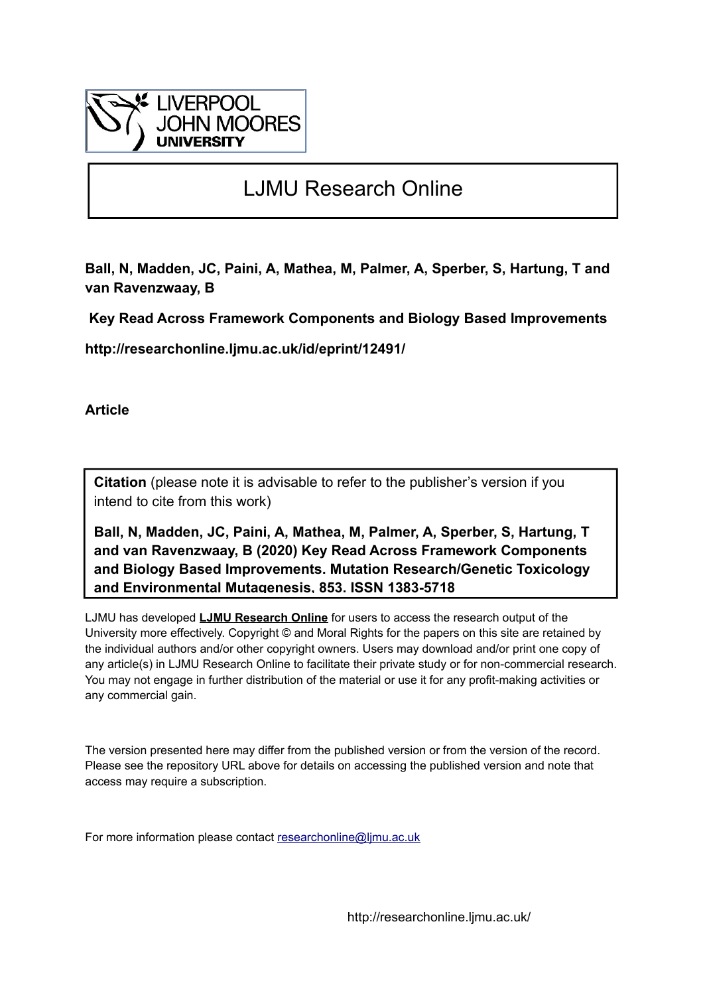

# LJMU Research Online

**Ball, N, Madden, JC, Paini, A, Mathea, M, Palmer, A, Sperber, S, Hartung, T and van Ravenzwaay, B**

 **Key Read Across Framework Components and Biology Based Improvements**

**http://researchonline.ljmu.ac.uk/id/eprint/12491/**

**Article**

**Citation** (please note it is advisable to refer to the publisher's version if you intend to cite from this work)

**Ball, N, Madden, JC, Paini, A, Mathea, M, Palmer, A, Sperber, S, Hartung, T and van Ravenzwaay, B (2020) Key Read Across Framework Components and Biology Based Improvements. Mutation Research/Genetic Toxicology and Environmental Mutagenesis, 853. ISSN 1383-5718** 

LJMU has developed **[LJMU Research Online](http://researchonline.ljmu.ac.uk/)** for users to access the research output of the University more effectively. Copyright © and Moral Rights for the papers on this site are retained by the individual authors and/or other copyright owners. Users may download and/or print one copy of any article(s) in LJMU Research Online to facilitate their private study or for non-commercial research. You may not engage in further distribution of the material or use it for any profit-making activities or any commercial gain.

The version presented here may differ from the published version or from the version of the record. Please see the repository URL above for details on accessing the published version and note that access may require a subscription.

For more information please contact [researchonline@ljmu.ac.uk](mailto:researchonline@ljmu.ac.uk)

http://researchonline.ljmu.ac.uk/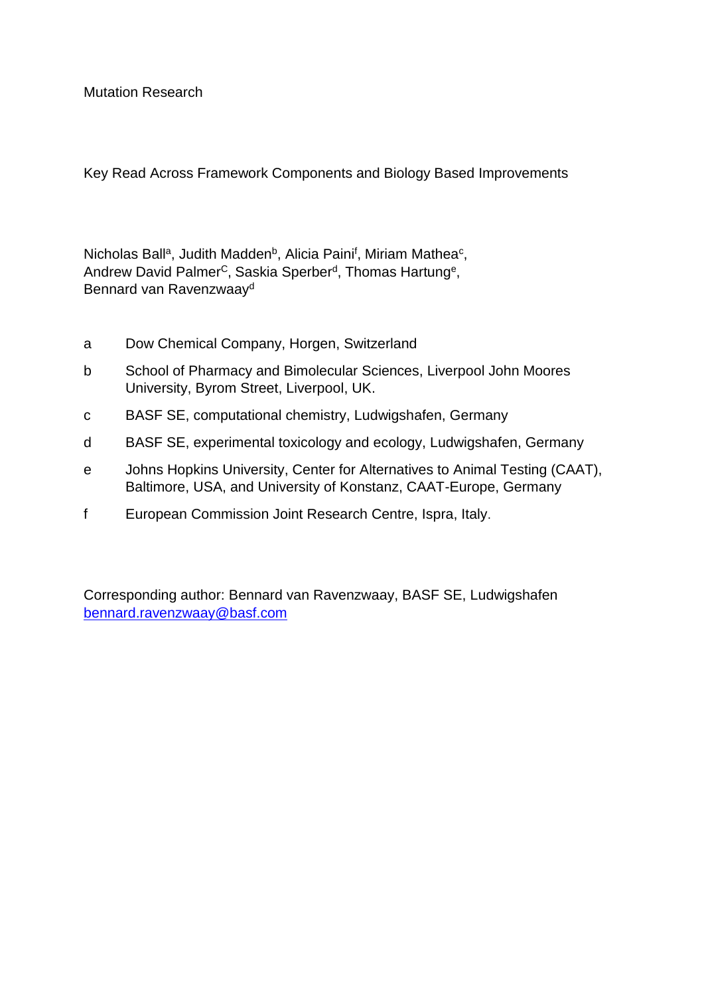Mutation Research

Key Read Across Framework Components and Biology Based Improvements

Nicholas Ball<sup>a</sup>, Judith Madden<sup>b</sup>, Alicia Paini<sup>f</sup>, Miriam Mathea<sup>c</sup>, Andrew David Palmer<sup>c</sup>, Saskia Sperber<sup>d</sup>, Thomas Hartung<sup>e</sup>, Bennard van Ravenzwaay<sup>d</sup>

- a Dow Chemical Company, Horgen, Switzerland
- b School of Pharmacy and Bimolecular Sciences, Liverpool John Moores University, Byrom Street, Liverpool, UK.
- c BASF SE, computational chemistry, Ludwigshafen, Germany
- d BASF SE, experimental toxicology and ecology, Ludwigshafen, Germany
- e Johns Hopkins University, Center for Alternatives to Animal Testing (CAAT), Baltimore, USA, and University of Konstanz, CAAT-Europe, Germany
- f European Commission Joint Research Centre, Ispra, Italy.

Corresponding author: Bennard van Ravenzwaay, BASF SE, Ludwigshafen [bennard.ravenzwaay@basf.com](mailto:bennard.ravenzwaay@basf.com)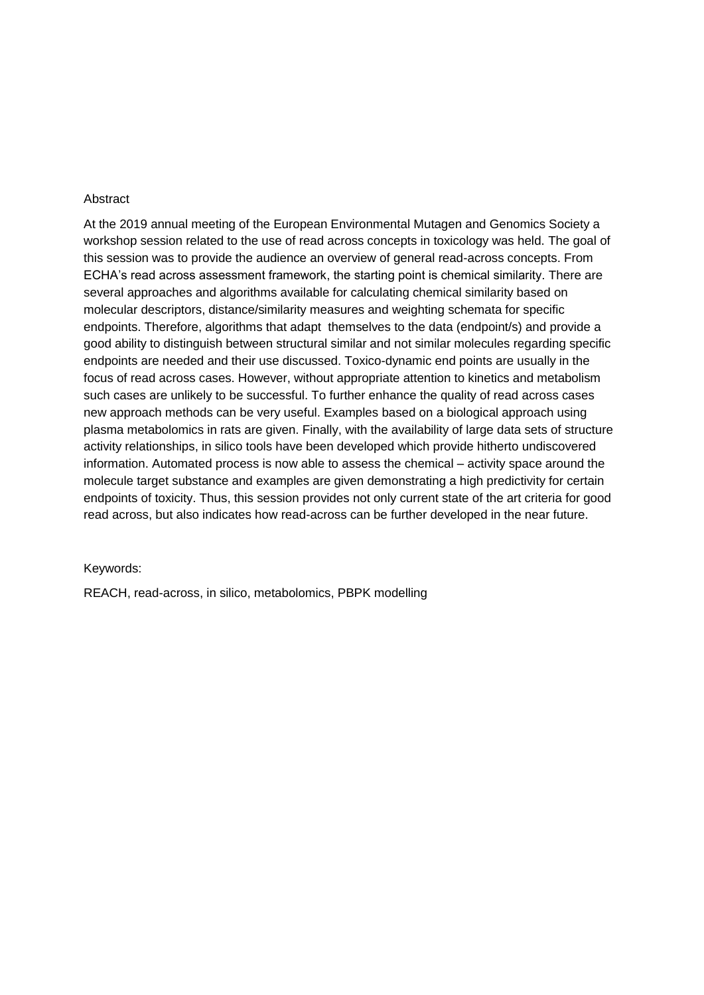#### Abstract

At the 2019 annual meeting of the European Environmental Mutagen and Genomics Society a workshop session related to the use of read across concepts in toxicology was held. The goal of this session was to provide the audience an overview of general read-across concepts. From ECHA's read across assessment framework, the starting point is chemical similarity. There are several approaches and algorithms available for calculating chemical similarity based on molecular descriptors, distance/similarity measures and weighting schemata for specific endpoints. Therefore, algorithms that adapt themselves to the data (endpoint/s) and provide a good ability to distinguish between structural similar and not similar molecules regarding specific endpoints are needed and their use discussed. Toxico-dynamic end points are usually in the focus of read across cases. However, without appropriate attention to kinetics and metabolism such cases are unlikely to be successful. To further enhance the quality of read across cases new approach methods can be very useful. Examples based on a biological approach using plasma metabolomics in rats are given. Finally, with the availability of large data sets of structure activity relationships, in silico tools have been developed which provide hitherto undiscovered information. Automated process is now able to assess the chemical – activity space around the molecule target substance and examples are given demonstrating a high predictivity for certain endpoints of toxicity. Thus, this session provides not only current state of the art criteria for good read across, but also indicates how read-across can be further developed in the near future.

#### Keywords:

REACH, read-across, in silico, metabolomics, PBPK modelling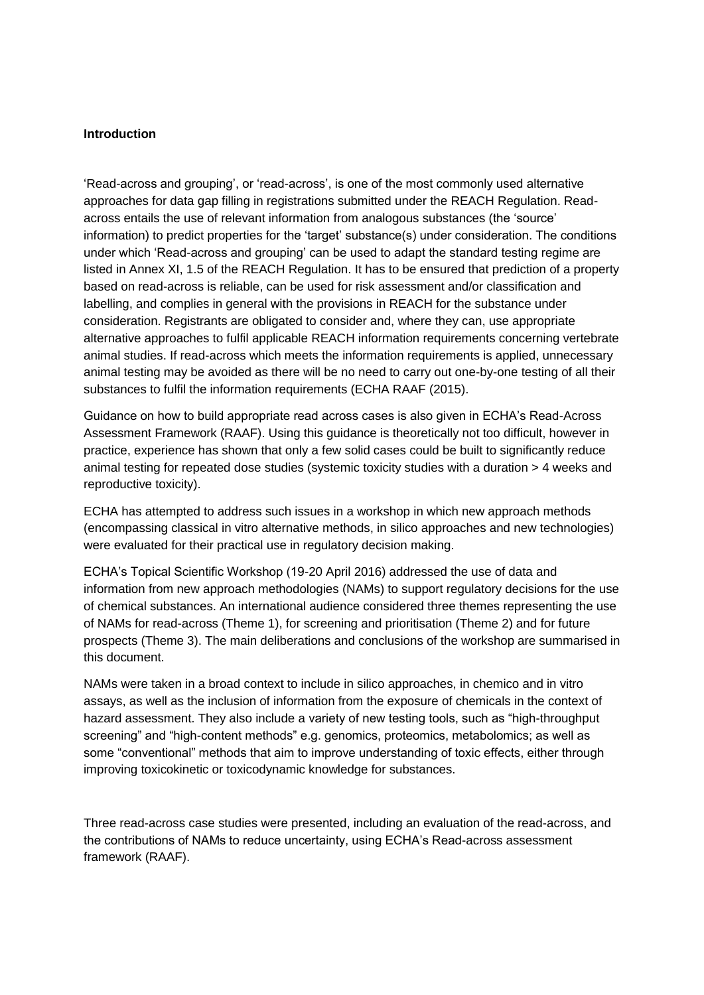#### **Introduction**

'Read-across and grouping', or 'read-across', is one of the most commonly used alternative approaches for data gap filling in registrations submitted under the REACH Regulation. Readacross entails the use of relevant information from analogous substances (the 'source' information) to predict properties for the 'target' substance(s) under consideration. The conditions under which 'Read-across and grouping' can be used to adapt the standard testing regime are listed in Annex XI, 1.5 of the REACH Regulation. It has to be ensured that prediction of a property based on read-across is reliable, can be used for risk assessment and/or classification and labelling, and complies in general with the provisions in REACH for the substance under consideration. Registrants are obligated to consider and, where they can, use appropriate alternative approaches to fulfil applicable REACH information requirements concerning vertebrate animal studies. If read-across which meets the information requirements is applied, unnecessary animal testing may be avoided as there will be no need to carry out one-by-one testing of all their substances to fulfil the information requirements (ECHA RAAF (2015).

Guidance on how to build appropriate read across cases is also given in ECHA's Read-Across Assessment Framework (RAAF). Using this guidance is theoretically not too difficult, however in practice, experience has shown that only a few solid cases could be built to significantly reduce animal testing for repeated dose studies (systemic toxicity studies with a duration > 4 weeks and reproductive toxicity).

ECHA has attempted to address such issues in a workshop in which new approach methods (encompassing classical in vitro alternative methods, in silico approaches and new technologies) were evaluated for their practical use in regulatory decision making.

ECHA's Topical Scientific Workshop (19-20 April 2016) addressed the use of data and information from new approach methodologies (NAMs) to support regulatory decisions for the use of chemical substances. An international audience considered three themes representing the use of NAMs for read-across (Theme 1), for screening and prioritisation (Theme 2) and for future prospects (Theme 3). The main deliberations and conclusions of the workshop are summarised in this document.

NAMs were taken in a broad context to include in silico approaches, in chemico and in vitro assays, as well as the inclusion of information from the exposure of chemicals in the context of hazard assessment. They also include a variety of new testing tools, such as "high-throughput screening" and "high-content methods" e.g. genomics, proteomics, metabolomics; as well as some "conventional" methods that aim to improve understanding of toxic effects, either through improving toxicokinetic or toxicodynamic knowledge for substances.

Three read-across case studies were presented, including an evaluation of the read-across, and the contributions of NAMs to reduce uncertainty, using ECHA's Read-across assessment framework (RAAF).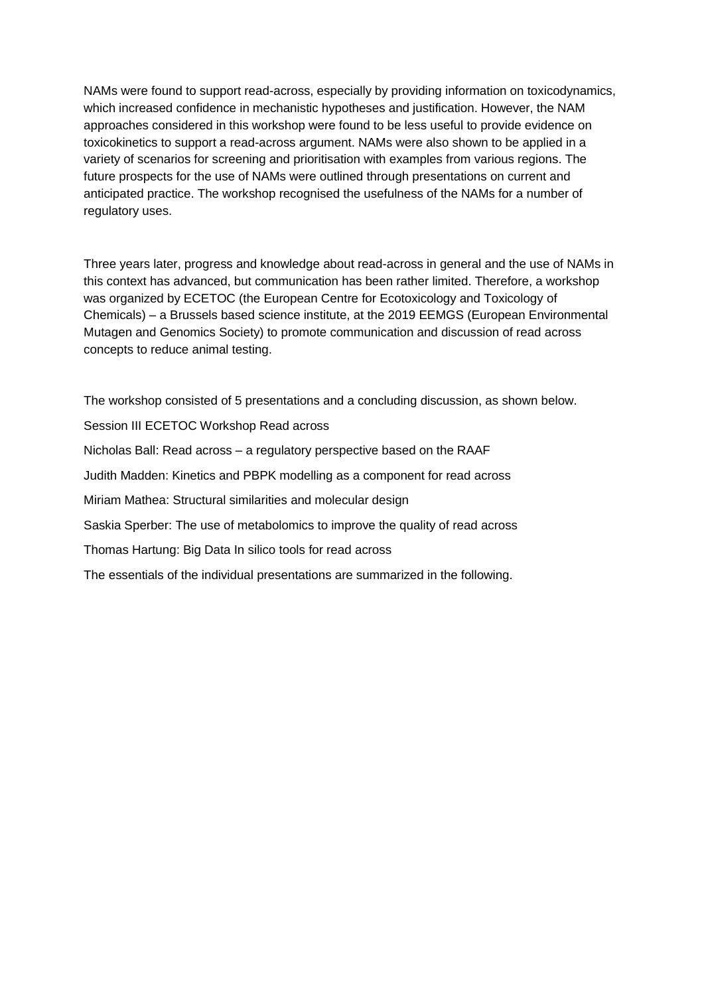NAMs were found to support read-across, especially by providing information on toxicodynamics, which increased confidence in mechanistic hypotheses and justification. However, the NAM approaches considered in this workshop were found to be less useful to provide evidence on toxicokinetics to support a read-across argument. NAMs were also shown to be applied in a variety of scenarios for screening and prioritisation with examples from various regions. The future prospects for the use of NAMs were outlined through presentations on current and anticipated practice. The workshop recognised the usefulness of the NAMs for a number of regulatory uses.

Three years later, progress and knowledge about read-across in general and the use of NAMs in this context has advanced, but communication has been rather limited. Therefore, a workshop was organized by ECETOC (the European Centre for Ecotoxicology and Toxicology of Chemicals) – a Brussels based science institute, at the 2019 EEMGS (European Environmental Mutagen and Genomics Society) to promote communication and discussion of read across concepts to reduce animal testing.

The workshop consisted of 5 presentations and a concluding discussion, as shown below.

Session III ECETOC Workshop Read across

Nicholas Ball: Read across – a regulatory perspective based on the RAAF

Judith Madden: Kinetics and PBPK modelling as a component for read across

Miriam Mathea: Structural similarities and molecular design

Saskia Sperber: The use of metabolomics to improve the quality of read across

Thomas Hartung: Big Data In silico tools for read across

The essentials of the individual presentations are summarized in the following.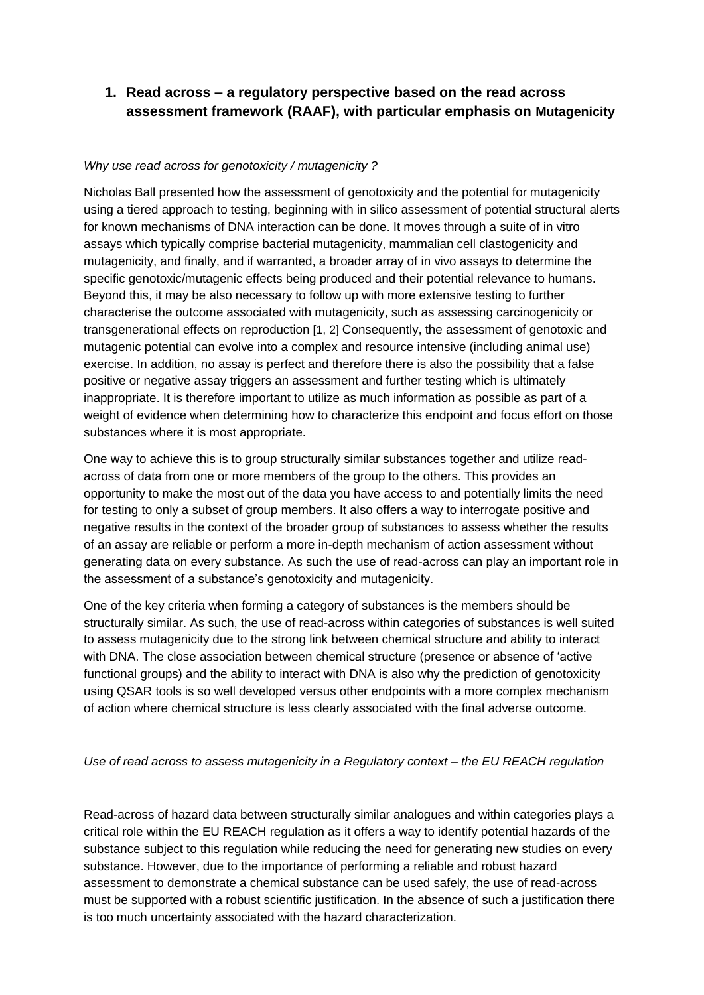# **1. Read across – a regulatory perspective based on the read across assessment framework (RAAF), with particular emphasis on Mutagenicity**

## *Why use read across for genotoxicity / mutagenicity ?*

Nicholas Ball presented how the assessment of genotoxicity and the potential for mutagenicity using a tiered approach to testing, beginning with in silico assessment of potential structural alerts for known mechanisms of DNA interaction can be done. It moves through a suite of in vitro assays which typically comprise bacterial mutagenicity, mammalian cell clastogenicity and mutagenicity, and finally, and if warranted, a broader array of in vivo assays to determine the specific genotoxic/mutagenic effects being produced and their potential relevance to humans. Beyond this, it may be also necessary to follow up with more extensive testing to further characterise the outcome associated with mutagenicity, such as assessing carcinogenicity or transgenerational effects on reproduction [1, 2] Consequently, the assessment of genotoxic and mutagenic potential can evolve into a complex and resource intensive (including animal use) exercise. In addition, no assay is perfect and therefore there is also the possibility that a false positive or negative assay triggers an assessment and further testing which is ultimately inappropriate. It is therefore important to utilize as much information as possible as part of a weight of evidence when determining how to characterize this endpoint and focus effort on those substances where it is most appropriate.

One way to achieve this is to group structurally similar substances together and utilize readacross of data from one or more members of the group to the others. This provides an opportunity to make the most out of the data you have access to and potentially limits the need for testing to only a subset of group members. It also offers a way to interrogate positive and negative results in the context of the broader group of substances to assess whether the results of an assay are reliable or perform a more in-depth mechanism of action assessment without generating data on every substance. As such the use of read-across can play an important role in the assessment of a substance's genotoxicity and mutagenicity.

One of the key criteria when forming a category of substances is the members should be structurally similar. As such, the use of read-across within categories of substances is well suited to assess mutagenicity due to the strong link between chemical structure and ability to interact with DNA. The close association between chemical structure (presence or absence of 'active functional groups) and the ability to interact with DNA is also why the prediction of genotoxicity using QSAR tools is so well developed versus other endpoints with a more complex mechanism of action where chemical structure is less clearly associated with the final adverse outcome.

## *Use of read across to assess mutagenicity in a Regulatory context – the EU REACH regulation*

Read-across of hazard data between structurally similar analogues and within categories plays a critical role within the EU REACH regulation as it offers a way to identify potential hazards of the substance subject to this regulation while reducing the need for generating new studies on every substance. However, due to the importance of performing a reliable and robust hazard assessment to demonstrate a chemical substance can be used safely, the use of read-across must be supported with a robust scientific justification. In the absence of such a justification there is too much uncertainty associated with the hazard characterization.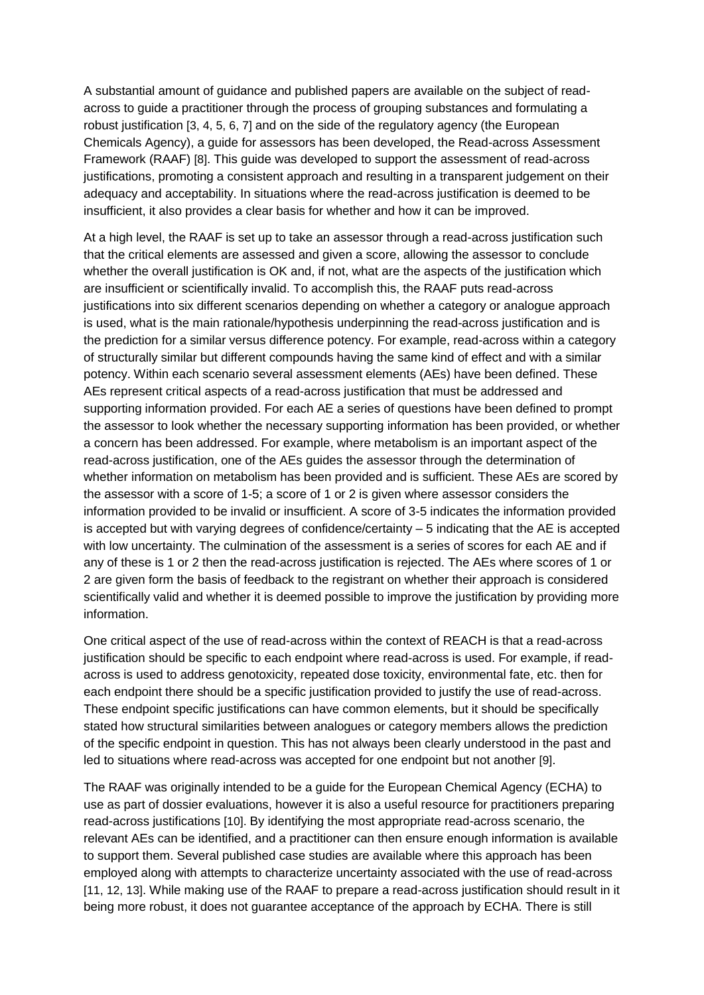A substantial amount of guidance and published papers are available on the subject of readacross to guide a practitioner through the process of grouping substances and formulating a robust justification [3, 4, 5, 6, 7] and on the side of the regulatory agency (the European Chemicals Agency), a guide for assessors has been developed, the Read-across Assessment Framework (RAAF) [8]. This guide was developed to support the assessment of read-across justifications, promoting a consistent approach and resulting in a transparent judgement on their adequacy and acceptability. In situations where the read-across justification is deemed to be insufficient, it also provides a clear basis for whether and how it can be improved.

At a high level, the RAAF is set up to take an assessor through a read-across justification such that the critical elements are assessed and given a score, allowing the assessor to conclude whether the overall justification is OK and, if not, what are the aspects of the justification which are insufficient or scientifically invalid. To accomplish this, the RAAF puts read-across justifications into six different scenarios depending on whether a category or analogue approach is used, what is the main rationale/hypothesis underpinning the read-across justification and is the prediction for a similar versus difference potency. For example, read-across within a category of structurally similar but different compounds having the same kind of effect and with a similar potency. Within each scenario several assessment elements (AEs) have been defined. These AEs represent critical aspects of a read-across justification that must be addressed and supporting information provided. For each AE a series of questions have been defined to prompt the assessor to look whether the necessary supporting information has been provided, or whether a concern has been addressed. For example, where metabolism is an important aspect of the read-across justification, one of the AEs guides the assessor through the determination of whether information on metabolism has been provided and is sufficient. These AEs are scored by the assessor with a score of 1-5; a score of 1 or 2 is given where assessor considers the information provided to be invalid or insufficient. A score of 3-5 indicates the information provided is accepted but with varying degrees of confidence/certainty – 5 indicating that the AE is accepted with low uncertainty. The culmination of the assessment is a series of scores for each AE and if any of these is 1 or 2 then the read-across justification is rejected. The AEs where scores of 1 or 2 are given form the basis of feedback to the registrant on whether their approach is considered scientifically valid and whether it is deemed possible to improve the justification by providing more information.

One critical aspect of the use of read-across within the context of REACH is that a read-across justification should be specific to each endpoint where read-across is used. For example, if readacross is used to address genotoxicity, repeated dose toxicity, environmental fate, etc. then for each endpoint there should be a specific justification provided to justify the use of read-across. These endpoint specific justifications can have common elements, but it should be specifically stated how structural similarities between analogues or category members allows the prediction of the specific endpoint in question. This has not always been clearly understood in the past and led to situations where read-across was accepted for one endpoint but not another [9].

The RAAF was originally intended to be a guide for the European Chemical Agency (ECHA) to use as part of dossier evaluations, however it is also a useful resource for practitioners preparing read-across justifications [10]. By identifying the most appropriate read-across scenario, the relevant AEs can be identified, and a practitioner can then ensure enough information is available to support them. Several published case studies are available where this approach has been employed along with attempts to characterize uncertainty associated with the use of read-across [11, 12, 13]. While making use of the RAAF to prepare a read-across justification should result in it being more robust, it does not guarantee acceptance of the approach by ECHA. There is still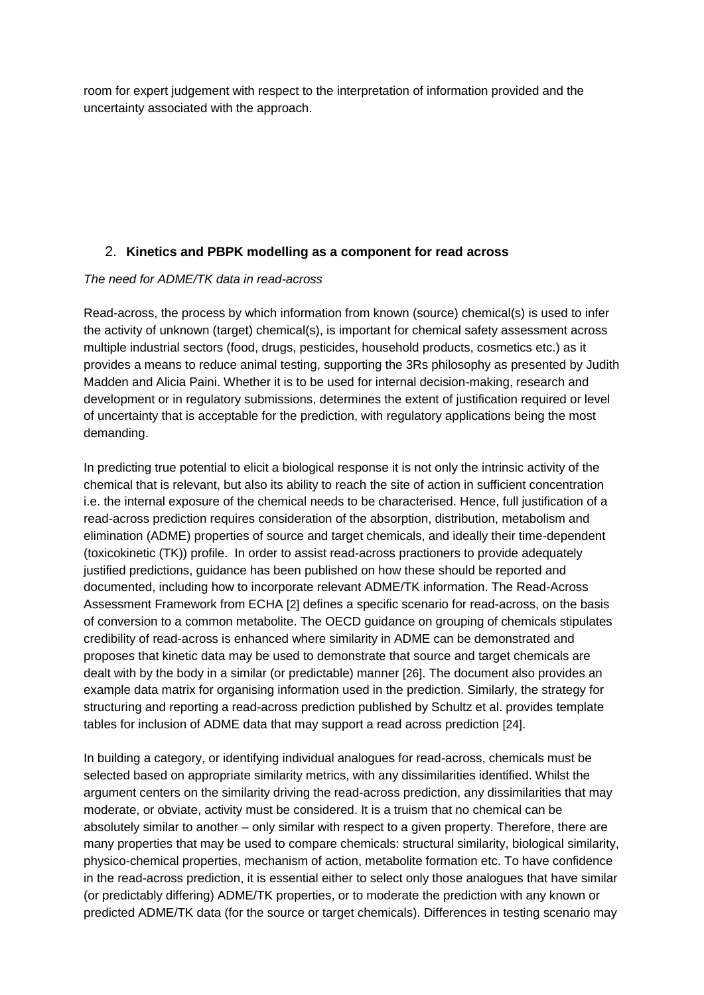room for expert judgement with respect to the interpretation of information provided and the uncertainty associated with the approach.

## 2. **Kinetics and PBPK modelling as a component for read across**

## *The need for ADME/TK data in read-across*

Read-across, the process by which information from known (source) chemical(s) is used to infer the activity of unknown (target) chemical(s), is important for chemical safety assessment across multiple industrial sectors (food, drugs, pesticides, household products, cosmetics etc.) as it provides a means to reduce animal testing, supporting the 3Rs philosophy as presented by Judith Madden and Alicia Paini. Whether it is to be used for internal decision-making, research and development or in regulatory submissions, determines the extent of justification required or level of uncertainty that is acceptable for the prediction, with regulatory applications being the most demanding.

In predicting true potential to elicit a biological response it is not only the intrinsic activity of the chemical that is relevant, but also its ability to reach the site of action in sufficient concentration i.e. the internal exposure of the chemical needs to be characterised. Hence, full justification of a read-across prediction requires consideration of the absorption, distribution, metabolism and elimination (ADME) properties of source and target chemicals, and ideally their time-dependent (toxicokinetic (TK)) profile. In order to assist read-across practioners to provide adequately justified predictions, guidance has been published on how these should be reported and documented, including how to incorporate relevant ADME/TK information. The Read-Across Assessment Framework from ECHA [2] defines a specific scenario for read-across, on the basis of conversion to a common metabolite. The OECD guidance on grouping of chemicals stipulates credibility of read-across is enhanced where similarity in ADME can be demonstrated and proposes that kinetic data may be used to demonstrate that source and target chemicals are dealt with by the body in a similar (or predictable) manner [26]. The document also provides an example data matrix for organising information used in the prediction. Similarly, the strategy for structuring and reporting a read-across prediction published by Schultz et al. provides template tables for inclusion of ADME data that may support a read across prediction [24].

In building a category, or identifying individual analogues for read-across, chemicals must be selected based on appropriate similarity metrics, with any dissimilarities identified. Whilst the argument centers on the similarity driving the read-across prediction, any dissimilarities that may moderate, or obviate, activity must be considered. It is a truism that no chemical can be absolutely similar to another – only similar with respect to a given property. Therefore, there are many properties that may be used to compare chemicals: structural similarity, biological similarity, physico-chemical properties, mechanism of action, metabolite formation etc. To have confidence in the read-across prediction, it is essential either to select only those analogues that have similar (or predictably differing) ADME/TK properties, or to moderate the prediction with any known or predicted ADME/TK data (for the source or target chemicals). Differences in testing scenario may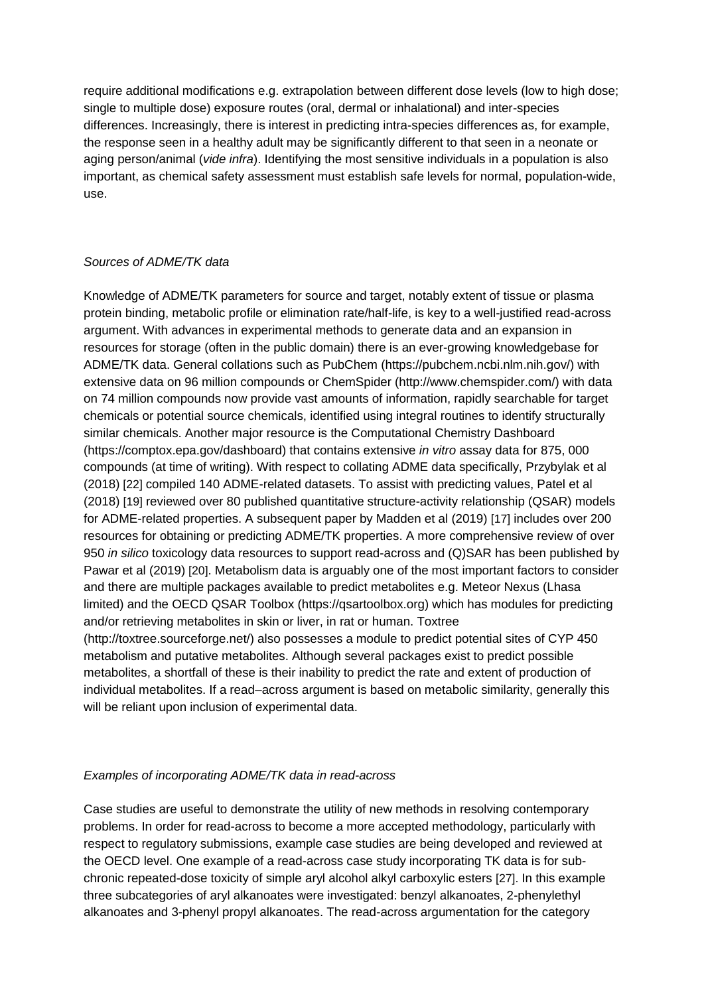require additional modifications e.g. extrapolation between different dose levels (low to high dose; single to multiple dose) exposure routes (oral, dermal or inhalational) and inter-species differences. Increasingly, there is interest in predicting intra-species differences as, for example, the response seen in a healthy adult may be significantly different to that seen in a neonate or aging person/animal (*vide infra*). Identifying the most sensitive individuals in a population is also important, as chemical safety assessment must establish safe levels for normal, population-wide, use.

## *Sources of ADME/TK data*

Knowledge of ADME/TK parameters for source and target, notably extent of tissue or plasma protein binding, metabolic profile or elimination rate/half-life, is key to a well-justified read-across argument. With advances in experimental methods to generate data and an expansion in resources for storage (often in the public domain) there is an ever-growing knowledgebase for ADME/TK data. General collations such as PubChem (https://pubchem.ncbi.nlm.nih.gov/) with extensive data on 96 million compounds or ChemSpider (http://www.chemspider.com/) with data on 74 million compounds now provide vast amounts of information, rapidly searchable for target chemicals or potential source chemicals, identified using integral routines to identify structurally similar chemicals. Another major resource is the Computational Chemistry Dashboard (https://comptox.epa.gov/dashboard) that contains extensive *in vitro* assay data for 875, 000 compounds (at time of writing). With respect to collating ADME data specifically, Przybylak et al (2018) [22] compiled 140 ADME-related datasets. To assist with predicting values, Patel et al (2018) [19] reviewed over 80 published quantitative structure-activity relationship (QSAR) models for ADME-related properties. A subsequent paper by Madden et al (2019) [17] includes over 200 resources for obtaining or predicting ADME/TK properties. A more comprehensive review of over 950 *in silico* toxicology data resources to support read-across and (Q)SAR has been published by Pawar et al (2019) [20]. Metabolism data is arguably one of the most important factors to consider and there are multiple packages available to predict metabolites e.g. Meteor Nexus (Lhasa limited) and the OECD QSAR Toolbox (https://qsartoolbox.org) which has modules for predicting and/or retrieving metabolites in skin or liver, in rat or human. Toxtree (http://toxtree.sourceforge.net/) also possesses a module to predict potential sites of CYP 450 metabolism and putative metabolites. Although several packages exist to predict possible metabolites, a shortfall of these is their inability to predict the rate and extent of production of individual metabolites. If a read–across argument is based on metabolic similarity, generally this will be reliant upon inclusion of experimental data.

#### *Examples of incorporating ADME/TK data in read-across*

Case studies are useful to demonstrate the utility of new methods in resolving contemporary problems. In order for read-across to become a more accepted methodology, particularly with respect to regulatory submissions, example case studies are being developed and reviewed at the OECD level. One example of a read-across case study incorporating TK data is for subchronic repeated-dose toxicity of simple aryl alcohol alkyl carboxylic esters [27]. In this example three subcategories of aryl alkanoates were investigated: benzyl alkanoates, 2-phenylethyl alkanoates and 3-phenyl propyl alkanoates. The read-across argumentation for the category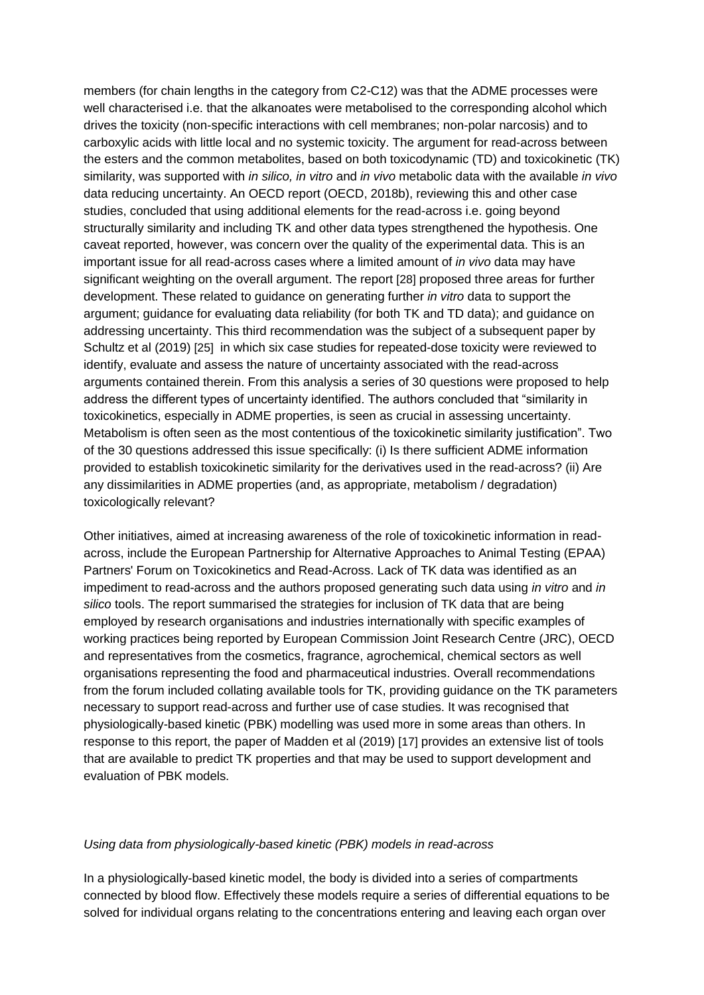members (for chain lengths in the category from C2-C12) was that the ADME processes were well characterised i.e. that the alkanoates were metabolised to the corresponding alcohol which drives the toxicity (non-specific interactions with cell membranes; non-polar narcosis) and to carboxylic acids with little local and no systemic toxicity. The argument for read-across between the esters and the common metabolites, based on both toxicodynamic (TD) and toxicokinetic (TK) similarity, was supported with *in silico, in vitro* and *in vivo* metabolic data with the available *in vivo* data reducing uncertainty. An OECD report (OECD, 2018b), reviewing this and other case studies, concluded that using additional elements for the read-across i.e. going beyond structurally similarity and including TK and other data types strengthened the hypothesis. One caveat reported, however, was concern over the quality of the experimental data. This is an important issue for all read-across cases where a limited amount of *in vivo* data may have significant weighting on the overall argument. The report [28] proposed three areas for further development. These related to guidance on generating further *in vitro* data to support the argument; guidance for evaluating data reliability (for both TK and TD data); and guidance on addressing uncertainty. This third recommendation was the subject of a subsequent paper by Schultz et al (2019) [25] in which six case studies for repeated-dose toxicity were reviewed to identify, evaluate and assess the nature of uncertainty associated with the read-across arguments contained therein. From this analysis a series of 30 questions were proposed to help address the different types of uncertainty identified. The authors concluded that "similarity in toxicokinetics, especially in ADME properties, is seen as crucial in assessing uncertainty. Metabolism is often seen as the most contentious of the toxicokinetic similarity justification". Two of the 30 questions addressed this issue specifically: (i) Is there sufficient ADME information provided to establish toxicokinetic similarity for the derivatives used in the read-across? (ii) Are any dissimilarities in ADME properties (and, as appropriate, metabolism / degradation) toxicologically relevant?

Other initiatives, aimed at increasing awareness of the role of toxicokinetic information in readacross, include the European Partnership for Alternative Approaches to Animal Testing (EPAA) Partners' Forum on Toxicokinetics and Read-Across. Lack of TK data was identified as an impediment to read-across and the authors proposed generating such data using *in vitro* and *in silico* tools. The report summarised the strategies for inclusion of TK data that are being employed by research organisations and industries internationally with specific examples of working practices being reported by European Commission Joint Research Centre (JRC), OECD and representatives from the cosmetics, fragrance, agrochemical, chemical sectors as well organisations representing the food and pharmaceutical industries. Overall recommendations from the forum included collating available tools for TK, providing guidance on the TK parameters necessary to support read-across and further use of case studies. It was recognised that physiologically-based kinetic (PBK) modelling was used more in some areas than others. In response to this report, the paper of Madden et al (2019) [17] provides an extensive list of tools that are available to predict TK properties and that may be used to support development and evaluation of PBK models.

#### *Using data from physiologically-based kinetic (PBK) models in read-across*

In a physiologically-based kinetic model, the body is divided into a series of compartments connected by blood flow. Effectively these models require a series of differential equations to be solved for individual organs relating to the concentrations entering and leaving each organ over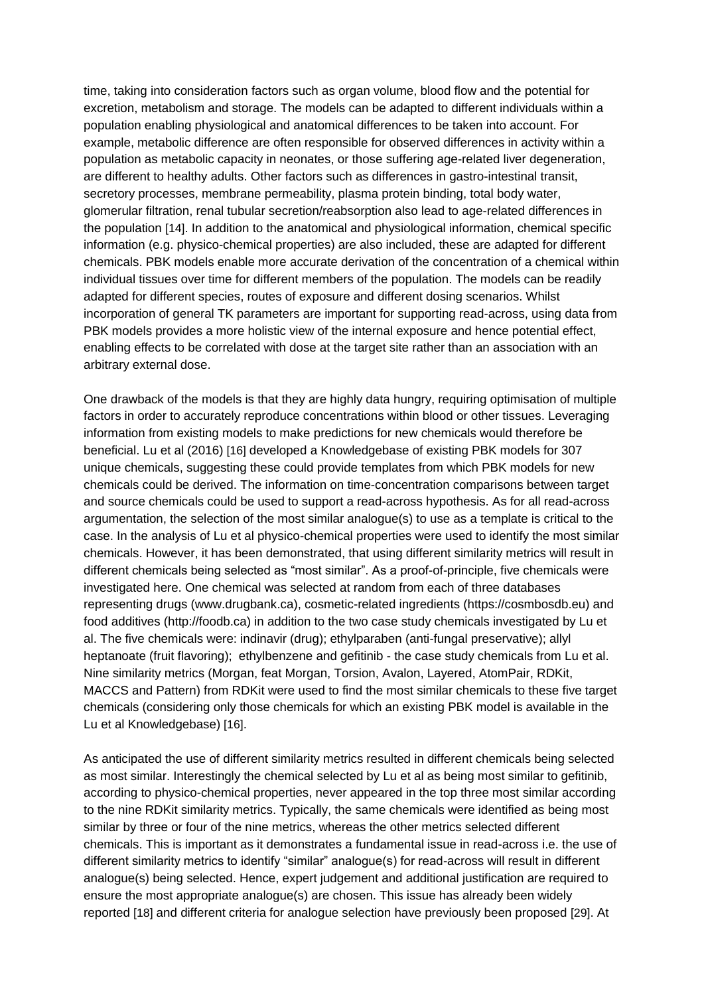time, taking into consideration factors such as organ volume, blood flow and the potential for excretion, metabolism and storage. The models can be adapted to different individuals within a population enabling physiological and anatomical differences to be taken into account. For example, metabolic difference are often responsible for observed differences in activity within a population as metabolic capacity in neonates, or those suffering age-related liver degeneration, are different to healthy adults. Other factors such as differences in gastro-intestinal transit, secretory processes, membrane permeability, plasma protein binding, total body water, glomerular filtration, renal tubular secretion/reabsorption also lead to age-related differences in the population [14]. In addition to the anatomical and physiological information, chemical specific information (e.g. physico-chemical properties) are also included, these are adapted for different chemicals. PBK models enable more accurate derivation of the concentration of a chemical within individual tissues over time for different members of the population. The models can be readily adapted for different species, routes of exposure and different dosing scenarios. Whilst incorporation of general TK parameters are important for supporting read-across, using data from PBK models provides a more holistic view of the internal exposure and hence potential effect, enabling effects to be correlated with dose at the target site rather than an association with an arbitrary external dose.

One drawback of the models is that they are highly data hungry, requiring optimisation of multiple factors in order to accurately reproduce concentrations within blood or other tissues. Leveraging information from existing models to make predictions for new chemicals would therefore be beneficial. Lu et al (2016) [16] developed a Knowledgebase of existing PBK models for 307 unique chemicals, suggesting these could provide templates from which PBK models for new chemicals could be derived. The information on time-concentration comparisons between target and source chemicals could be used to support a read-across hypothesis. As for all read-across argumentation, the selection of the most similar analogue(s) to use as a template is critical to the case. In the analysis of Lu et al physico-chemical properties were used to identify the most similar chemicals. However, it has been demonstrated, that using different similarity metrics will result in different chemicals being selected as "most similar". As a proof-of-principle, five chemicals were investigated here. One chemical was selected at random from each of three databases representing drugs (www.drugbank.ca), cosmetic-related ingredients (https://cosmbosdb.eu) and food additives (http://foodb.ca) in addition to the two case study chemicals investigated by Lu et al. The five chemicals were: indinavir (drug); ethylparaben (anti-fungal preservative); allyl heptanoate (fruit flavoring); ethylbenzene and gefitinib - the case study chemicals from Lu et al. Nine similarity metrics (Morgan, feat Morgan, Torsion, Avalon, Layered, AtomPair, RDKit, MACCS and Pattern) from RDKit were used to find the most similar chemicals to these five target chemicals (considering only those chemicals for which an existing PBK model is available in the Lu et al Knowledgebase) [16].

As anticipated the use of different similarity metrics resulted in different chemicals being selected as most similar. Interestingly the chemical selected by Lu et al as being most similar to gefitinib, according to physico-chemical properties, never appeared in the top three most similar according to the nine RDKit similarity metrics. Typically, the same chemicals were identified as being most similar by three or four of the nine metrics, whereas the other metrics selected different chemicals. This is important as it demonstrates a fundamental issue in read-across i.e. the use of different similarity metrics to identify "similar" analogue(s) for read-across will result in different analogue(s) being selected. Hence, expert judgement and additional justification are required to ensure the most appropriate analogue(s) are chosen. This issue has already been widely reported [18] and different criteria for analogue selection have previously been proposed [29]. At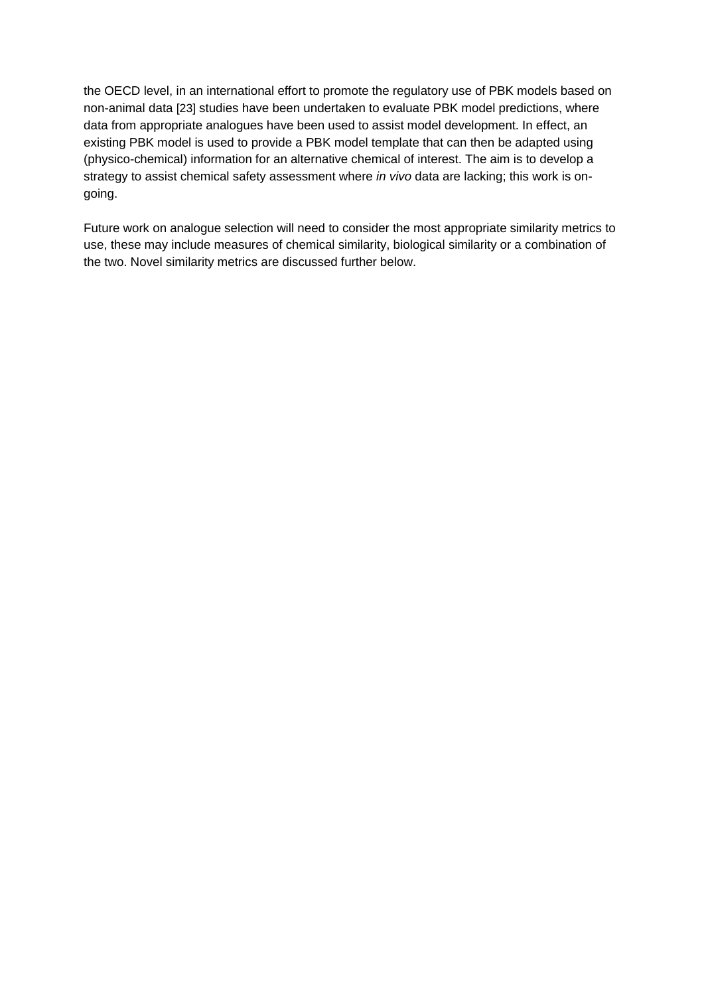the OECD level, in an international effort to promote the regulatory use of PBK models based on non-animal data [23] studies have been undertaken to evaluate PBK model predictions, where data from appropriate analogues have been used to assist model development. In effect, an existing PBK model is used to provide a PBK model template that can then be adapted using (physico-chemical) information for an alternative chemical of interest. The aim is to develop a strategy to assist chemical safety assessment where *in vivo* data are lacking; this work is ongoing.

Future work on analogue selection will need to consider the most appropriate similarity metrics to use, these may include measures of chemical similarity, biological similarity or a combination of the two. Novel similarity metrics are discussed further below.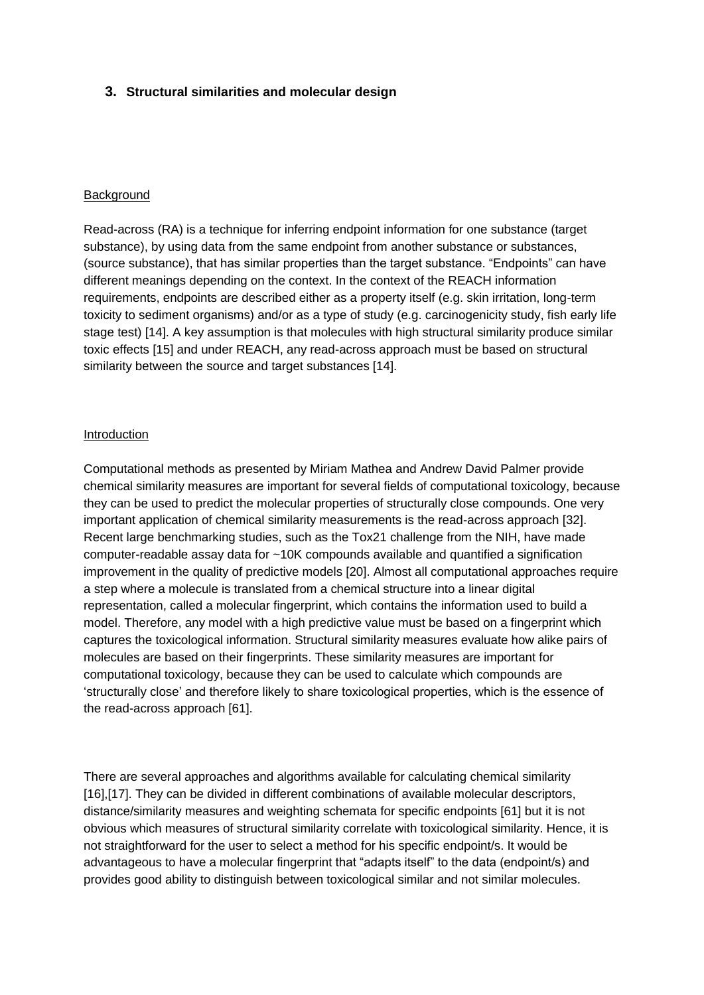## **3. Structural similarities and molecular design**

## **Background**

Read-across (RA) is a technique for inferring endpoint information for one substance (target substance), by using data from the same endpoint from another substance or substances, (source substance), that has similar properties than the target substance. "Endpoints" can have different meanings depending on the context. In the context of the REACH information requirements, endpoints are described either as a property itself (e.g. skin irritation, long-term toxicity to sediment organisms) and/or as a type of study (e.g. carcinogenicity study, fish early life stage test) [14]. A key assumption is that molecules with high structural similarity produce similar toxic effects [15] and under REACH, any read-across approach must be based on structural similarity between the source and target substances [14].

## **Introduction**

Computational methods as presented by Miriam Mathea and Andrew David Palmer provide chemical similarity measures are important for several fields of computational toxicology, because they can be used to predict the molecular properties of structurally close compounds. One very important application of chemical similarity measurements is the read-across approach [32]. Recent large benchmarking studies, such as the Tox21 challenge from the NIH, have made computer-readable assay data for ~10K compounds available and quantified a signification improvement in the quality of predictive models [20]. Almost all computational approaches require a step where a molecule is translated from a chemical structure into a linear digital representation, called a molecular fingerprint, which contains the information used to build a model. Therefore, any model with a high predictive value must be based on a fingerprint which captures the toxicological information. Structural similarity measures evaluate how alike pairs of molecules are based on their fingerprints. These similarity measures are important for computational toxicology, because they can be used to calculate which compounds are 'structurally close' and therefore likely to share toxicological properties, which is the essence of the read-across approach [61].

There are several approaches and algorithms available for calculating chemical similarity [16],[17]. They can be divided in different combinations of available molecular descriptors, distance/similarity measures and weighting schemata for specific endpoints [61] but it is not obvious which measures of structural similarity correlate with toxicological similarity. Hence, it is not straightforward for the user to select a method for his specific endpoint/s. It would be advantageous to have a molecular fingerprint that "adapts itself" to the data (endpoint/s) and provides good ability to distinguish between toxicological similar and not similar molecules.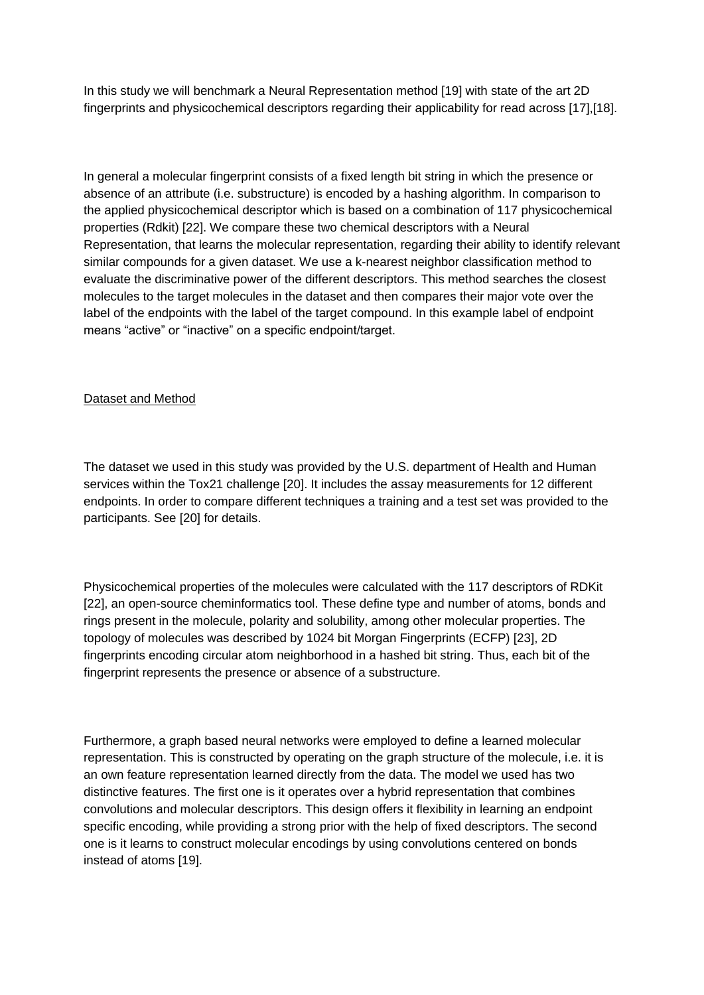In this study we will benchmark a Neural Representation method [19] with state of the art 2D fingerprints and physicochemical descriptors regarding their applicability for read across [17],[18].

In general a molecular fingerprint consists of a fixed length bit string in which the presence or absence of an attribute (i.e. substructure) is encoded by a hashing algorithm. In comparison to the applied physicochemical descriptor which is based on a combination of 117 physicochemical properties (Rdkit) [22]. We compare these two chemical descriptors with a Neural Representation, that learns the molecular representation, regarding their ability to identify relevant similar compounds for a given dataset. We use a k-nearest neighbor classification method to evaluate the discriminative power of the different descriptors. This method searches the closest molecules to the target molecules in the dataset and then compares their major vote over the label of the endpoints with the label of the target compound. In this example label of endpoint means "active" or "inactive" on a specific endpoint/target.

## Dataset and Method

The dataset we used in this study was provided by the U.S. department of Health and Human services within the Tox21 challenge [20]. It includes the assay measurements for 12 different endpoints. In order to compare different techniques a training and a test set was provided to the participants. See [20] for details.

Physicochemical properties of the molecules were calculated with the 117 descriptors of RDKit [22], an open-source cheminformatics tool. These define type and number of atoms, bonds and rings present in the molecule, polarity and solubility, among other molecular properties. The topology of molecules was described by 1024 bit Morgan Fingerprints (ECFP) [23], 2D fingerprints encoding circular atom neighborhood in a hashed bit string. Thus, each bit of the fingerprint represents the presence or absence of a substructure.

Furthermore, a graph based neural networks were employed to define a learned molecular representation. This is constructed by operating on the graph structure of the molecule, i.e. it is an own feature representation learned directly from the data. The model we used has two distinctive features. The first one is it operates over a hybrid representation that combines convolutions and molecular descriptors. This design offers it flexibility in learning an endpoint specific encoding, while providing a strong prior with the help of fixed descriptors. The second one is it learns to construct molecular encodings by using convolutions centered on bonds instead of atoms [19].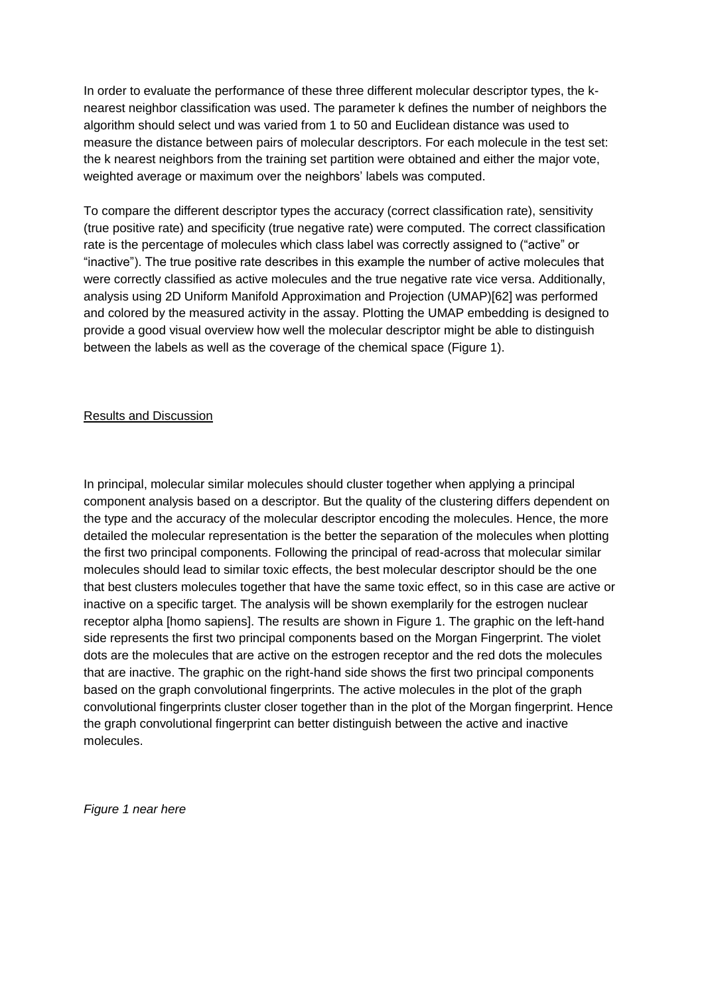In order to evaluate the performance of these three different molecular descriptor types, the knearest neighbor classification was used. The parameter k defines the number of neighbors the algorithm should select und was varied from 1 to 50 and Euclidean distance was used to measure the distance between pairs of molecular descriptors. For each molecule in the test set: the k nearest neighbors from the training set partition were obtained and either the major vote, weighted average or maximum over the neighbors' labels was computed.

To compare the different descriptor types the accuracy (correct classification rate), sensitivity (true positive rate) and specificity (true negative rate) were computed. The correct classification rate is the percentage of molecules which class label was correctly assigned to ("active" or "inactive"). The true positive rate describes in this example the number of active molecules that were correctly classified as active molecules and the true negative rate vice versa. Additionally, analysis using 2D Uniform Manifold Approximation and Projection (UMAP)[62] was performed and colored by the measured activity in the assay. Plotting the UMAP embedding is designed to provide a good visual overview how well the molecular descriptor might be able to distinguish between the labels as well as the coverage of the chemical space (Figure 1).

#### Results and Discussion

In principal, molecular similar molecules should cluster together when applying a principal component analysis based on a descriptor. But the quality of the clustering differs dependent on the type and the accuracy of the molecular descriptor encoding the molecules. Hence, the more detailed the molecular representation is the better the separation of the molecules when plotting the first two principal components. Following the principal of read-across that molecular similar molecules should lead to similar toxic effects, the best molecular descriptor should be the one that best clusters molecules together that have the same toxic effect, so in this case are active or inactive on a specific target. The analysis will be shown exemplarily for the estrogen nuclear receptor alpha [homo sapiens]. The results are shown in Figure 1. The graphic on the left-hand side represents the first two principal components based on the Morgan Fingerprint. The violet dots are the molecules that are active on the estrogen receptor and the red dots the molecules that are inactive. The graphic on the right-hand side shows the first two principal components based on the graph convolutional fingerprints. The active molecules in the plot of the graph convolutional fingerprints cluster closer together than in the plot of the Morgan fingerprint. Hence the graph convolutional fingerprint can better distinguish between the active and inactive molecules.

*Figure 1 near here*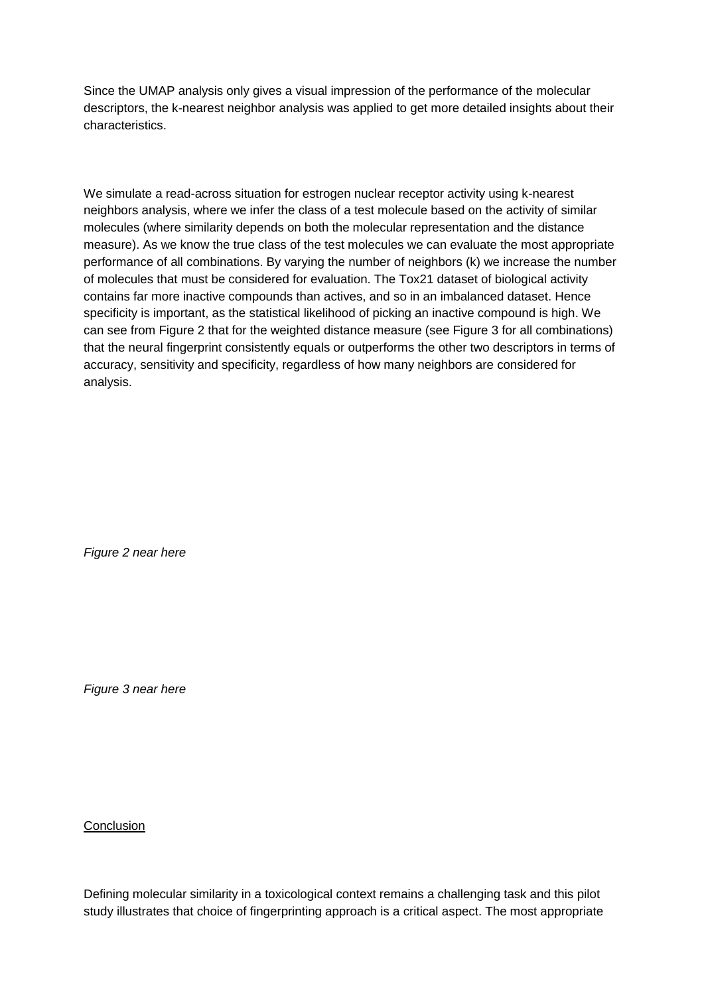Since the UMAP analysis only gives a visual impression of the performance of the molecular descriptors, the k-nearest neighbor analysis was applied to get more detailed insights about their characteristics.

We simulate a read-across situation for estrogen nuclear receptor activity using k-nearest neighbors analysis, where we infer the class of a test molecule based on the activity of similar molecules (where similarity depends on both the molecular representation and the distance measure). As we know the true class of the test molecules we can evaluate the most appropriate performance of all combinations. By varying the number of neighbors (k) we increase the number of molecules that must be considered for evaluation. The Tox21 dataset of biological activity contains far more inactive compounds than actives, and so in an imbalanced dataset. Hence specificity is important, as the statistical likelihood of picking an inactive compound is high. We can see from Figure 2 that for the weighted distance measure (see Figure 3 for all combinations) that the neural fingerprint consistently equals or outperforms the other two descriptors in terms of accuracy, sensitivity and specificity, regardless of how many neighbors are considered for analysis.

*Figure 2 near here*

*Figure 3 near here*

**Conclusion** 

Defining molecular similarity in a toxicological context remains a challenging task and this pilot study illustrates that choice of fingerprinting approach is a critical aspect. The most appropriate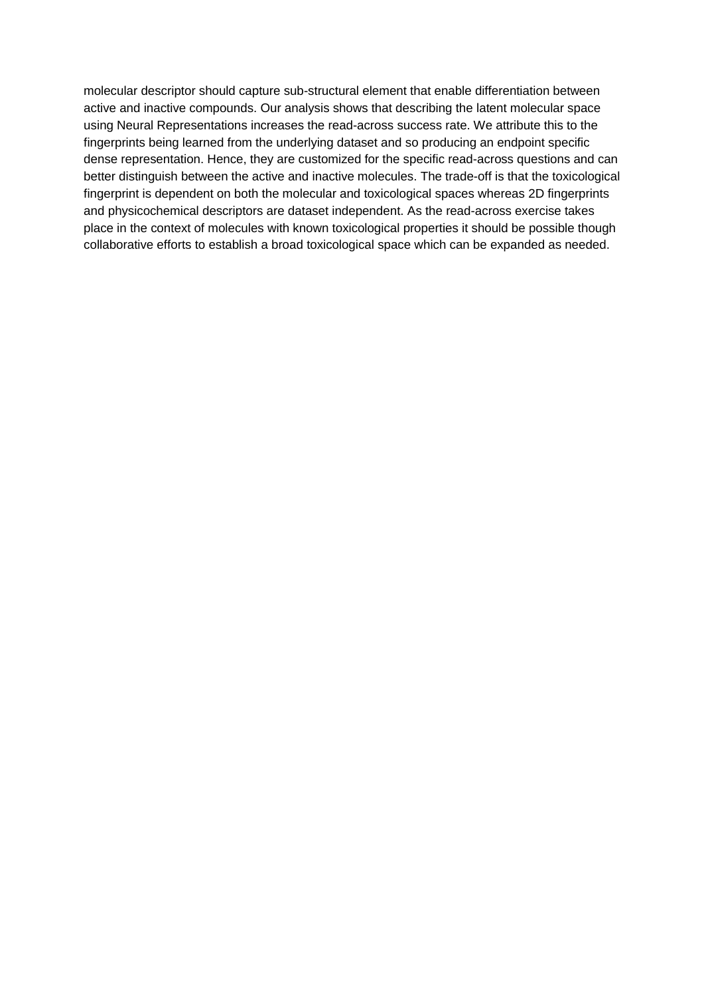molecular descriptor should capture sub-structural element that enable differentiation between active and inactive compounds. Our analysis shows that describing the latent molecular space using Neural Representations increases the read-across success rate. We attribute this to the fingerprints being learned from the underlying dataset and so producing an endpoint specific dense representation. Hence, they are customized for the specific read-across questions and can better distinguish between the active and inactive molecules. The trade-off is that the toxicological fingerprint is dependent on both the molecular and toxicological spaces whereas 2D fingerprints and physicochemical descriptors are dataset independent. As the read-across exercise takes place in the context of molecules with known toxicological properties it should be possible though collaborative efforts to establish a broad toxicological space which can be expanded as needed.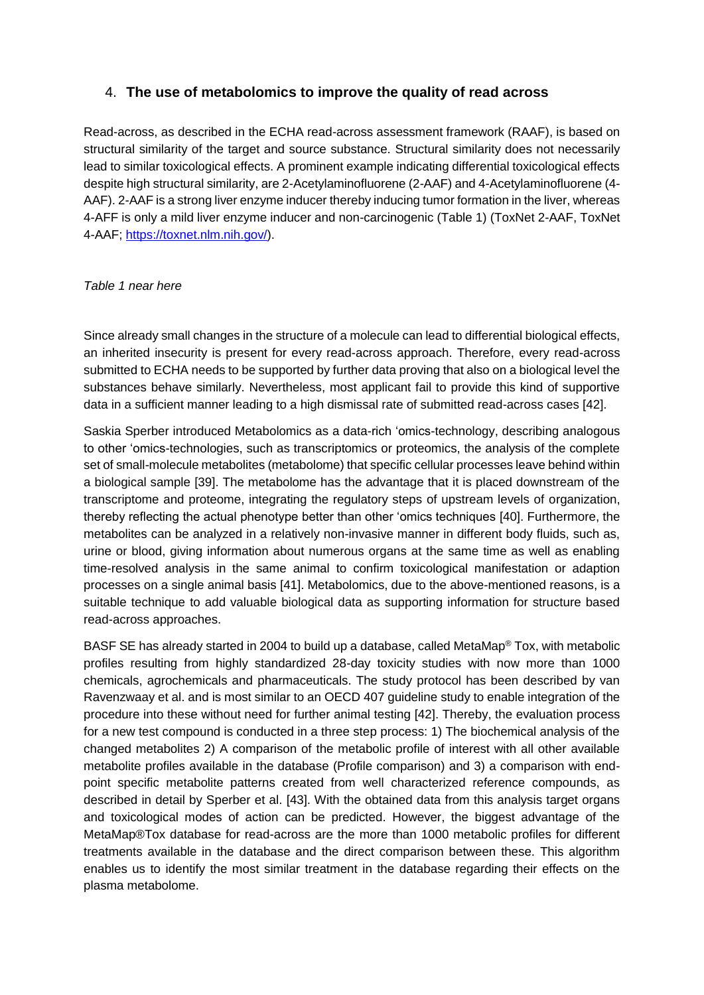## 4. **The use of metabolomics to improve the quality of read across**

Read-across, as described in the ECHA read-across assessment framework (RAAF), is based on structural similarity of the target and source substance. Structural similarity does not necessarily lead to similar toxicological effects. A prominent example indicating differential toxicological effects despite high structural similarity, are 2-Acetylaminofluorene (2-AAF) and 4-Acetylaminofluorene (4- AAF). 2-AAF is a strong liver enzyme inducer thereby inducing tumor formation in the liver, whereas 4-AFF is only a mild liver enzyme inducer and non-carcinogenic [\(Table 1\)](#page-17-0) (ToxNet 2-AAF, ToxNet 4-AAF; [https://toxnet.nlm.nih.gov/\)](https://toxnet.nlm.nih.gov/).

#### <span id="page-17-0"></span>*Table 1 near here*

Since already small changes in the structure of a molecule can lead to differential biological effects, an inherited insecurity is present for every read-across approach. Therefore, every read-across submitted to ECHA needs to be supported by further data proving that also on a biological level the substances behave similarly. Nevertheless, most applicant fail to provide this kind of supportive data in a sufficient manner leading to a high dismissal rate of submitted read-across cases [42].

Saskia Sperber introduced Metabolomics as a data-rich 'omics-technology, describing analogous to other 'omics-technologies, such as transcriptomics or proteomics, the analysis of the complete set of small-molecule metabolites (metabolome) that specific cellular processes leave behind within a biological sample [39]. The metabolome has the advantage that it is placed downstream of the transcriptome and proteome, integrating the regulatory steps of upstream levels of organization, thereby reflecting the actual phenotype better than other 'omics techniques [40]. Furthermore, the metabolites can be analyzed in a relatively non-invasive manner in different body fluids, such as, urine or blood, giving information about numerous organs at the same time as well as enabling time-resolved analysis in the same animal to confirm toxicological manifestation or adaption processes on a single animal basis [41]. Metabolomics, due to the above-mentioned reasons, is a suitable technique to add valuable biological data as supporting information for structure based read-across approaches.

BASF SE has already started in 2004 to build up a database, called MetaMap® Tox, with metabolic profiles resulting from highly standardized 28-day toxicity studies with now more than 1000 chemicals, agrochemicals and pharmaceuticals. The study protocol has been described by van Ravenzwaay et al. and is most similar to an OECD 407 guideline study to enable integration of the procedure into these without need for further animal testing [42]. Thereby, the evaluation process for a new test compound is conducted in a three step process: 1) The biochemical analysis of the changed metabolites 2) A comparison of the metabolic profile of interest with all other available metabolite profiles available in the database (Profile comparison) and 3) a comparison with endpoint specific metabolite patterns created from well characterized reference compounds, as described in detail by Sperber et al. [43]. With the obtained data from this analysis target organs and toxicological modes of action can be predicted. However, the biggest advantage of the MetaMap®Tox database for read-across are the more than 1000 metabolic profiles for different treatments available in the database and the direct comparison between these. This algorithm enables us to identify the most similar treatment in the database regarding their effects on the plasma metabolome.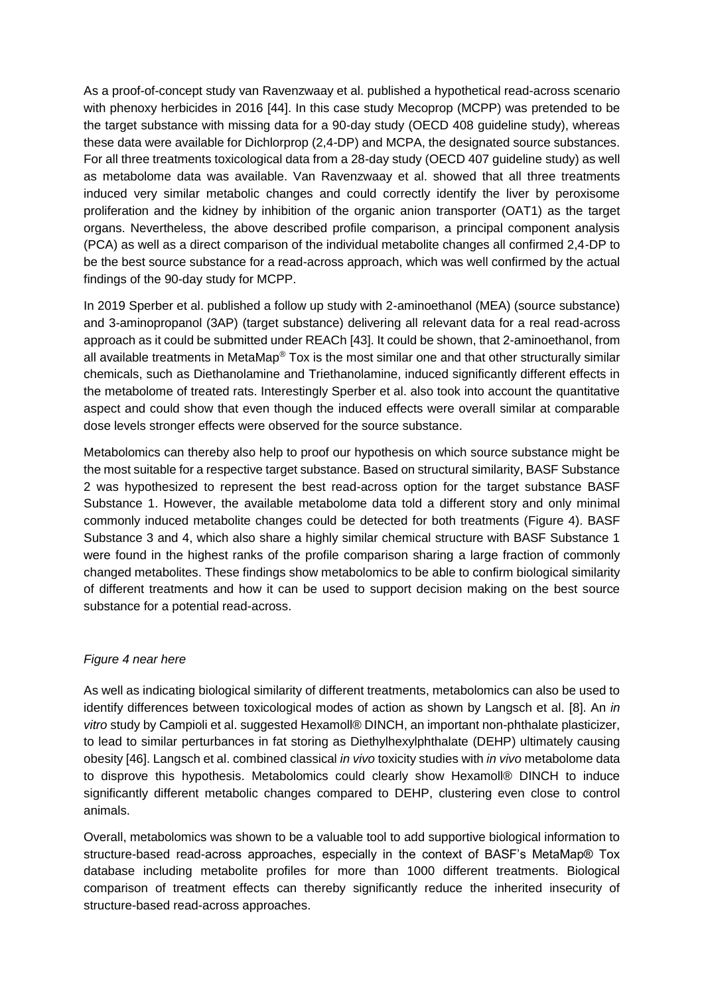As a proof-of-concept study van Ravenzwaay et al. published a hypothetical read-across scenario with phenoxy herbicides in 2016 [44]. In this case study Mecoprop (MCPP) was pretended to be the target substance with missing data for a 90-day study (OECD 408 guideline study), whereas these data were available for Dichlorprop (2,4-DP) and MCPA, the designated source substances. For all three treatments toxicological data from a 28-day study (OECD 407 guideline study) as well as metabolome data was available. Van Ravenzwaay et al. showed that all three treatments induced very similar metabolic changes and could correctly identify the liver by peroxisome proliferation and the kidney by inhibition of the organic anion transporter (OAT1) as the target organs. Nevertheless, the above described profile comparison, a principal component analysis (PCA) as well as a direct comparison of the individual metabolite changes all confirmed 2,4-DP to be the best source substance for a read-across approach, which was well confirmed by the actual findings of the 90-day study for MCPP.

In 2019 Sperber et al. published a follow up study with 2-aminoethanol (MEA) (source substance) and 3-aminopropanol (3AP) (target substance) delivering all relevant data for a real read-across approach as it could be submitted under REACh [43]. It could be shown, that 2-aminoethanol, from all available treatments in MetaMap® Tox is the most similar one and that other structurally similar chemicals, such as Diethanolamine and Triethanolamine, induced significantly different effects in the metabolome of treated rats. Interestingly Sperber et al. also took into account the quantitative aspect and could show that even though the induced effects were overall similar at comparable dose levels stronger effects were observed for the source substance.

Metabolomics can thereby also help to proof our hypothesis on which source substance might be the most suitable for a respective target substance. Based on structural similarity, BASF Substance 2 was hypothesized to represent the best read-across option for the target substance BASF Substance 1. However, the available metabolome data told a different story and only minimal commonly induced metabolite changes could be detected for both treatments (Figure 4). BASF Substance 3 and 4, which also share a highly similar chemical structure with BASF Substance 1 were found in the highest ranks of the profile comparison sharing a large fraction of commonly changed metabolites. These findings show metabolomics to be able to confirm biological similarity of different treatments and how it can be used to support decision making on the best source substance for a potential read-across.

## *Figure 4 near here*

As well as indicating biological similarity of different treatments, metabolomics can also be used to identify differences between toxicological modes of action as shown by Langsch et al. [8]. An *in vitro* study by Campioli et al. suggested Hexamoll® DINCH, an important non-phthalate plasticizer, to lead to similar perturbances in fat storing as Diethylhexylphthalate (DEHP) ultimately causing obesity [46]. Langsch et al. combined classical *in vivo* toxicity studies with *in vivo* metabolome data to disprove this hypothesis. Metabolomics could clearly show Hexamoll® DINCH to induce significantly different metabolic changes compared to DEHP, clustering even close to control animals.

Overall, metabolomics was shown to be a valuable tool to add supportive biological information to structure-based read-across approaches, especially in the context of BASF's MetaMap® Tox database including metabolite profiles for more than 1000 different treatments. Biological comparison of treatment effects can thereby significantly reduce the inherited insecurity of structure-based read-across approaches.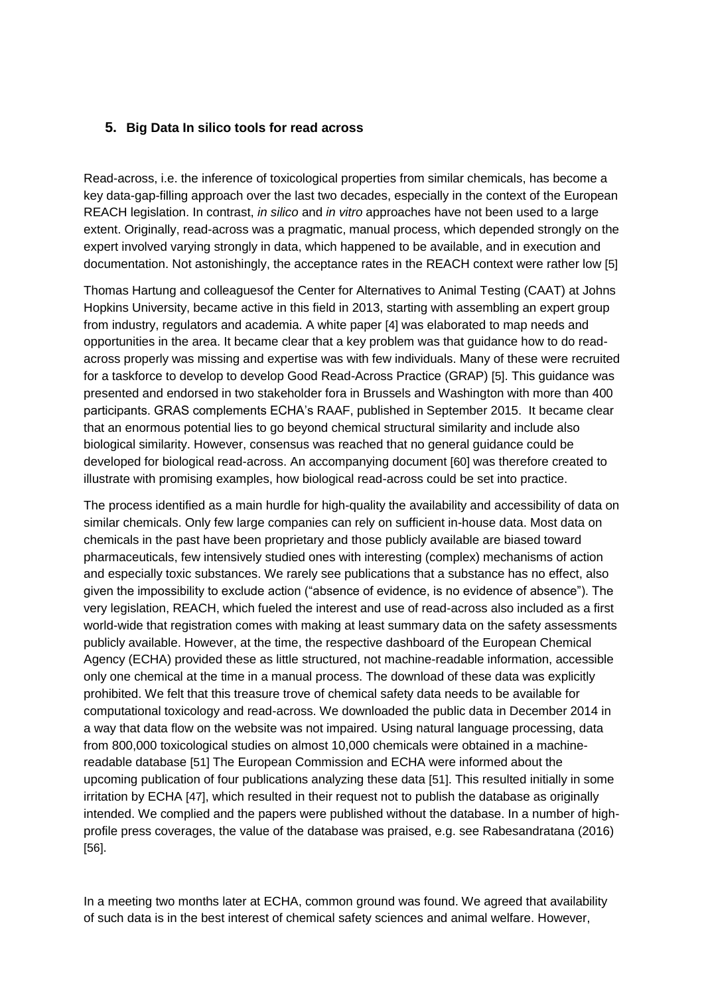## **5. Big Data In silico tools for read across**

Read-across, i.e. the inference of toxicological properties from similar chemicals, has become a key data-gap-filling approach over the last two decades, especially in the context of the European REACH legislation. In contrast, *in silico* and *in vitro* approaches have not been used to a large extent. Originally, read-across was a pragmatic, manual process, which depended strongly on the expert involved varying strongly in data, which happened to be available, and in execution and documentation. Not astonishingly, the acceptance rates in the REACH context were rather low [5]

Thomas Hartung and colleaguesof the Center for Alternatives to Animal Testing (CAAT) at Johns Hopkins University, became active in this field in 2013, starting with assembling an expert group from industry, regulators and academia. A white paper [4] was elaborated to map needs and opportunities in the area. It became clear that a key problem was that guidance how to do readacross properly was missing and expertise was with few individuals. Many of these were recruited for a taskforce to develop to develop Good Read-Across Practice (GRAP) [5]. This guidance was presented and endorsed in two stakeholder fora in Brussels and Washington with more than 400 participants. GRAS complements ECHA's RAAF, published in September 2015. It became clear that an enormous potential lies to go beyond chemical structural similarity and include also biological similarity. However, consensus was reached that no general guidance could be developed for biological read-across. An accompanying document [60] was therefore created to illustrate with promising examples, how biological read-across could be set into practice.

The process identified as a main hurdle for high-quality the availability and accessibility of data on similar chemicals. Only few large companies can rely on sufficient in-house data. Most data on chemicals in the past have been proprietary and those publicly available are biased toward pharmaceuticals, few intensively studied ones with interesting (complex) mechanisms of action and especially toxic substances. We rarely see publications that a substance has no effect, also given the impossibility to exclude action ("absence of evidence, is no evidence of absence"). The very legislation, REACH, which fueled the interest and use of read-across also included as a first world-wide that registration comes with making at least summary data on the safety assessments publicly available. However, at the time, the respective dashboard of the European Chemical Agency (ECHA) provided these as little structured, not machine-readable information, accessible only one chemical at the time in a manual process. The download of these data was explicitly prohibited. We felt that this treasure trove of chemical safety data needs to be available for computational toxicology and read-across. We downloaded the public data in December 2014 in a way that data flow on the website was not impaired. Using natural language processing, data from 800,000 toxicological studies on almost 10,000 chemicals were obtained in a machinereadable database [51] The European Commission and ECHA were informed about the upcoming publication of four publications analyzing these data [51]. This resulted initially in some irritation by ECHA [47], which resulted in their request not to publish the database as originally intended. We complied and the papers were published without the database. In a number of highprofile press coverages, the value of the database was praised, e.g. see Rabesandratana (2016) [56].

In a meeting two months later at ECHA, common ground was found. We agreed that availability of such data is in the best interest of chemical safety sciences and animal welfare. However,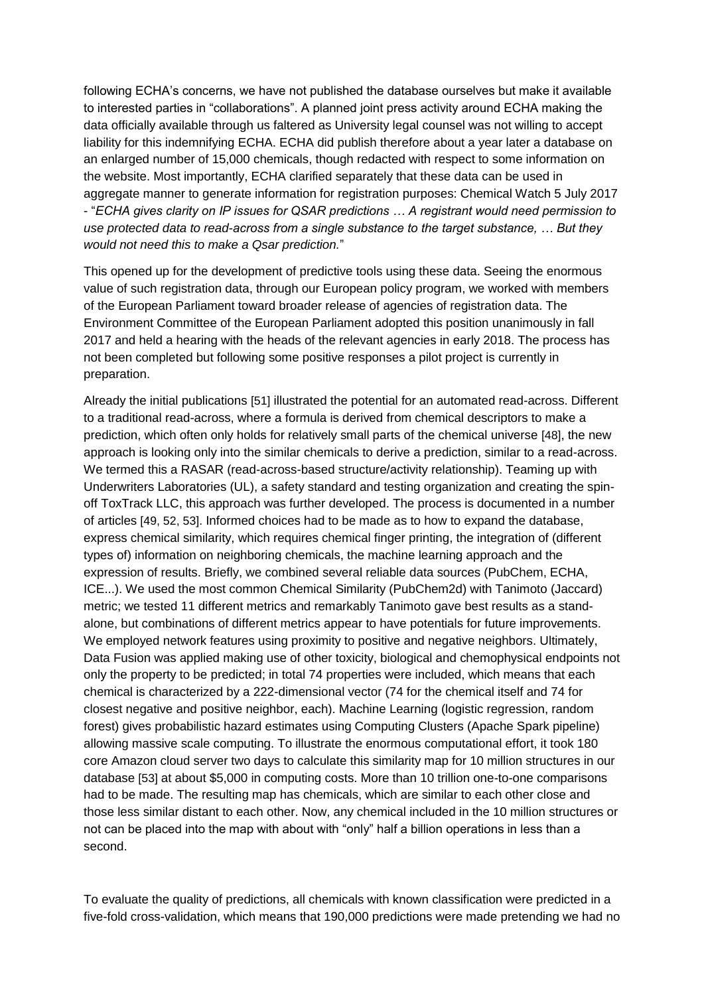following ECHA's concerns, we have not published the database ourselves but make it available to interested parties in "collaborations". A planned joint press activity around ECHA making the data officially available through us faltered as University legal counsel was not willing to accept liability for this indemnifying ECHA. ECHA did publish therefore about a year later a database on an enlarged number of 15,000 chemicals, though redacted with respect to some information on the website. Most importantly, ECHA clarified separately that these data can be used in aggregate manner to generate information for registration purposes: Chemical Watch 5 July 2017 - "*ECHA gives clarity on IP issues for QSAR predictions … A registrant would need permission to use protected data to read-across from a single substance to the target substance, … But they would not need this to make a Qsar prediction.*"

This opened up for the development of predictive tools using these data. Seeing the enormous value of such registration data, through our European policy program, we worked with members of the European Parliament toward broader release of agencies of registration data. The Environment Committee of the European Parliament adopted this position unanimously in fall 2017 and held a hearing with the heads of the relevant agencies in early 2018. The process has not been completed but following some positive responses a pilot project is currently in preparation.

Already the initial publications [51] illustrated the potential for an automated read-across. Different to a traditional read-across, where a formula is derived from chemical descriptors to make a prediction, which often only holds for relatively small parts of the chemical universe [48], the new approach is looking only into the similar chemicals to derive a prediction, similar to a read-across. We termed this a RASAR (read-across-based structure/activity relationship). Teaming up with Underwriters Laboratories (UL), a safety standard and testing organization and creating the spinoff ToxTrack LLC, this approach was further developed. The process is documented in a number of articles [49, 52, 53]. Informed choices had to be made as to how to expand the database, express chemical similarity, which requires chemical finger printing, the integration of (different types of) information on neighboring chemicals, the machine learning approach and the expression of results. Briefly, we combined several reliable data sources (PubChem, ECHA, ICE...). We used the most common Chemical Similarity (PubChem2d) with Tanimoto (Jaccard) metric; we tested 11 different metrics and remarkably Tanimoto gave best results as a standalone, but combinations of different metrics appear to have potentials for future improvements. We employed network features using proximity to positive and negative neighbors. Ultimately, Data Fusion was applied making use of other toxicity, biological and chemophysical endpoints not only the property to be predicted; in total 74 properties were included, which means that each chemical is characterized by a 222-dimensional vector (74 for the chemical itself and 74 for closest negative and positive neighbor, each). Machine Learning (logistic regression, random forest) gives probabilistic hazard estimates using Computing Clusters (Apache Spark pipeline) allowing massive scale computing. To illustrate the enormous computational effort, it took 180 core Amazon cloud server two days to calculate this similarity map for 10 million structures in our database [53] at about \$5,000 in computing costs. More than 10 trillion one-to-one comparisons had to be made. The resulting map has chemicals, which are similar to each other close and those less similar distant to each other. Now, any chemical included in the 10 million structures or not can be placed into the map with about with "only" half a billion operations in less than a second.

To evaluate the quality of predictions, all chemicals with known classification were predicted in a five-fold cross-validation, which means that 190,000 predictions were made pretending we had no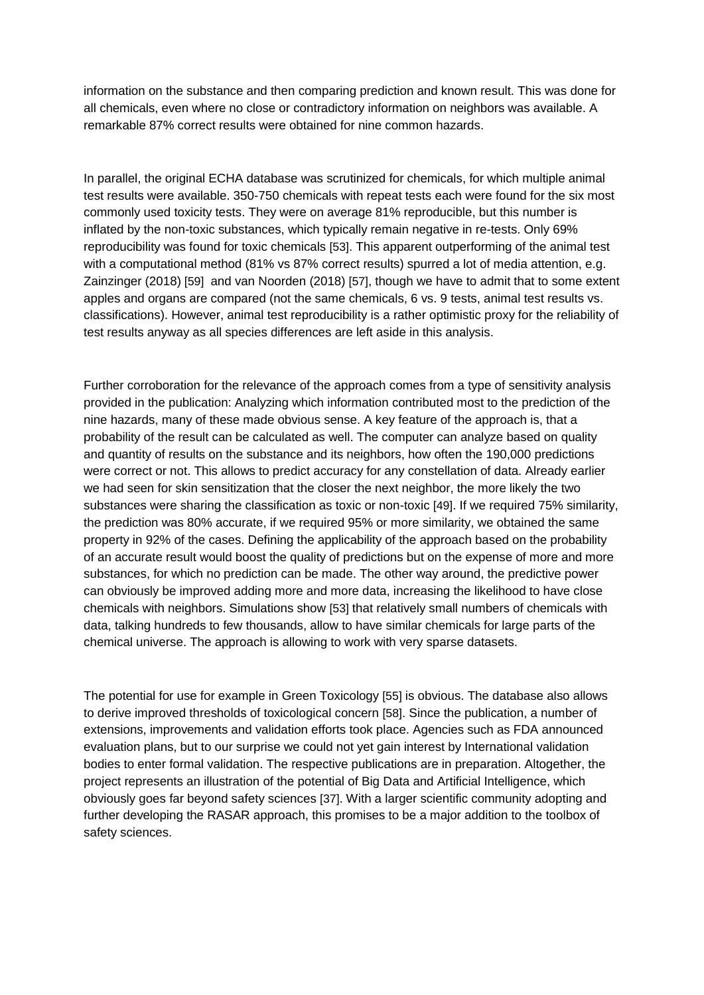information on the substance and then comparing prediction and known result. This was done for all chemicals, even where no close or contradictory information on neighbors was available. A remarkable 87% correct results were obtained for nine common hazards.

In parallel, the original ECHA database was scrutinized for chemicals, for which multiple animal test results were available. 350-750 chemicals with repeat tests each were found for the six most commonly used toxicity tests. They were on average 81% reproducible, but this number is inflated by the non-toxic substances, which typically remain negative in re-tests. Only 69% reproducibility was found for toxic chemicals [53]. This apparent outperforming of the animal test with a computational method (81% vs 87% correct results) spurred a lot of media attention, e.g. Zainzinger (2018) [59] and van Noorden (2018) [57], though we have to admit that to some extent apples and organs are compared (not the same chemicals, 6 vs. 9 tests, animal test results vs. classifications). However, animal test reproducibility is a rather optimistic proxy for the reliability of test results anyway as all species differences are left aside in this analysis.

Further corroboration for the relevance of the approach comes from a type of sensitivity analysis provided in the publication: Analyzing which information contributed most to the prediction of the nine hazards, many of these made obvious sense. A key feature of the approach is, that a probability of the result can be calculated as well. The computer can analyze based on quality and quantity of results on the substance and its neighbors, how often the 190,000 predictions were correct or not. This allows to predict accuracy for any constellation of data. Already earlier we had seen for skin sensitization that the closer the next neighbor, the more likely the two substances were sharing the classification as toxic or non-toxic [49]. If we required 75% similarity, the prediction was 80% accurate, if we required 95% or more similarity, we obtained the same property in 92% of the cases. Defining the applicability of the approach based on the probability of an accurate result would boost the quality of predictions but on the expense of more and more substances, for which no prediction can be made. The other way around, the predictive power can obviously be improved adding more and more data, increasing the likelihood to have close chemicals with neighbors. Simulations show [53] that relatively small numbers of chemicals with data, talking hundreds to few thousands, allow to have similar chemicals for large parts of the chemical universe. The approach is allowing to work with very sparse datasets.

The potential for use for example in Green Toxicology [55] is obvious. The database also allows to derive improved thresholds of toxicological concern [58]. Since the publication, a number of extensions, improvements and validation efforts took place. Agencies such as FDA announced evaluation plans, but to our surprise we could not yet gain interest by International validation bodies to enter formal validation. The respective publications are in preparation. Altogether, the project represents an illustration of the potential of Big Data and Artificial Intelligence, which obviously goes far beyond safety sciences [37]. With a larger scientific community adopting and further developing the RASAR approach, this promises to be a major addition to the toolbox of safety sciences.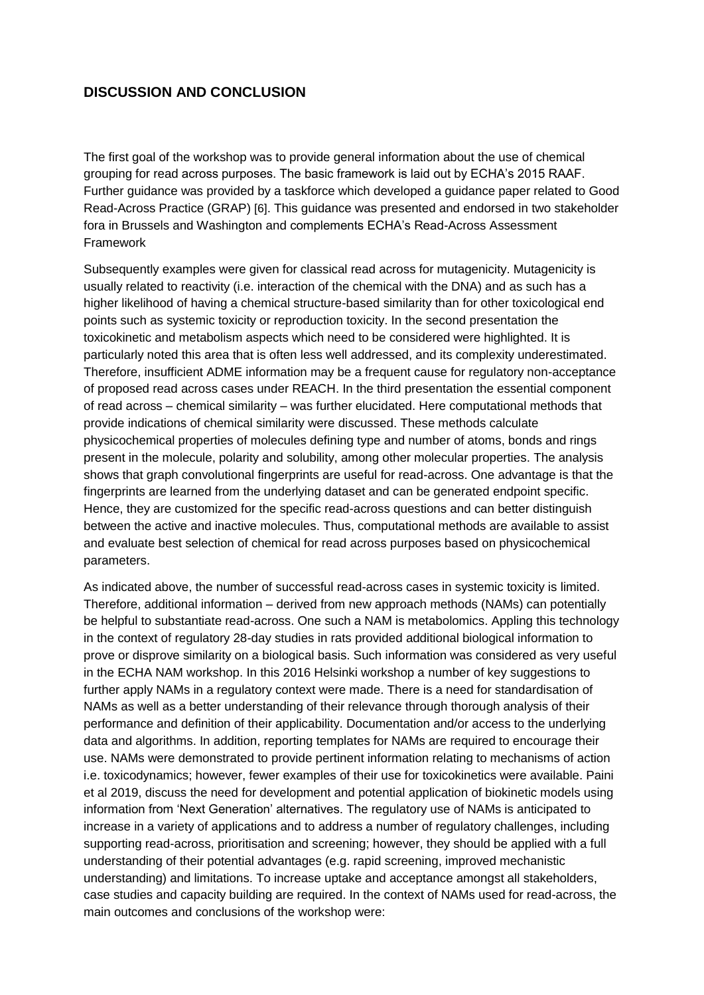# **DISCUSSION AND CONCLUSION**

The first goal of the workshop was to provide general information about the use of chemical grouping for read across purposes. The basic framework is laid out by ECHA's 2015 RAAF. Further guidance was provided by a taskforce which developed a guidance paper related to Good Read-Across Practice (GRAP) [6]. This guidance was presented and endorsed in two stakeholder fora in Brussels and Washington and complements ECHA's Read-Across Assessment Framework

Subsequently examples were given for classical read across for mutagenicity. Mutagenicity is usually related to reactivity (i.e. interaction of the chemical with the DNA) and as such has a higher likelihood of having a chemical structure-based similarity than for other toxicological end points such as systemic toxicity or reproduction toxicity. In the second presentation the toxicokinetic and metabolism aspects which need to be considered were highlighted. It is particularly noted this area that is often less well addressed, and its complexity underestimated. Therefore, insufficient ADME information may be a frequent cause for regulatory non-acceptance of proposed read across cases under REACH. In the third presentation the essential component of read across – chemical similarity – was further elucidated. Here computational methods that provide indications of chemical similarity were discussed. These methods calculate physicochemical properties of molecules defining type and number of atoms, bonds and rings present in the molecule, polarity and solubility, among other molecular properties. The analysis shows that graph convolutional fingerprints are useful for read-across. One advantage is that the fingerprints are learned from the underlying dataset and can be generated endpoint specific. Hence, they are customized for the specific read-across questions and can better distinguish between the active and inactive molecules. Thus, computational methods are available to assist and evaluate best selection of chemical for read across purposes based on physicochemical parameters.

As indicated above, the number of successful read-across cases in systemic toxicity is limited. Therefore, additional information – derived from new approach methods (NAMs) can potentially be helpful to substantiate read-across. One such a NAM is metabolomics. Appling this technology in the context of regulatory 28-day studies in rats provided additional biological information to prove or disprove similarity on a biological basis. Such information was considered as very useful in the ECHA NAM workshop. In this 2016 Helsinki workshop a number of key suggestions to further apply NAMs in a regulatory context were made. There is a need for standardisation of NAMs as well as a better understanding of their relevance through thorough analysis of their performance and definition of their applicability. Documentation and/or access to the underlying data and algorithms. In addition, reporting templates for NAMs are required to encourage their use. NAMs were demonstrated to provide pertinent information relating to mechanisms of action i.e. toxicodynamics; however, fewer examples of their use for toxicokinetics were available. Paini et al 2019, discuss the need for development and potential application of biokinetic models using information from 'Next Generation' alternatives. The regulatory use of NAMs is anticipated to increase in a variety of applications and to address a number of regulatory challenges, including supporting read-across, prioritisation and screening; however, they should be applied with a full understanding of their potential advantages (e.g. rapid screening, improved mechanistic understanding) and limitations. To increase uptake and acceptance amongst all stakeholders, case studies and capacity building are required. In the context of NAMs used for read-across, the main outcomes and conclusions of the workshop were: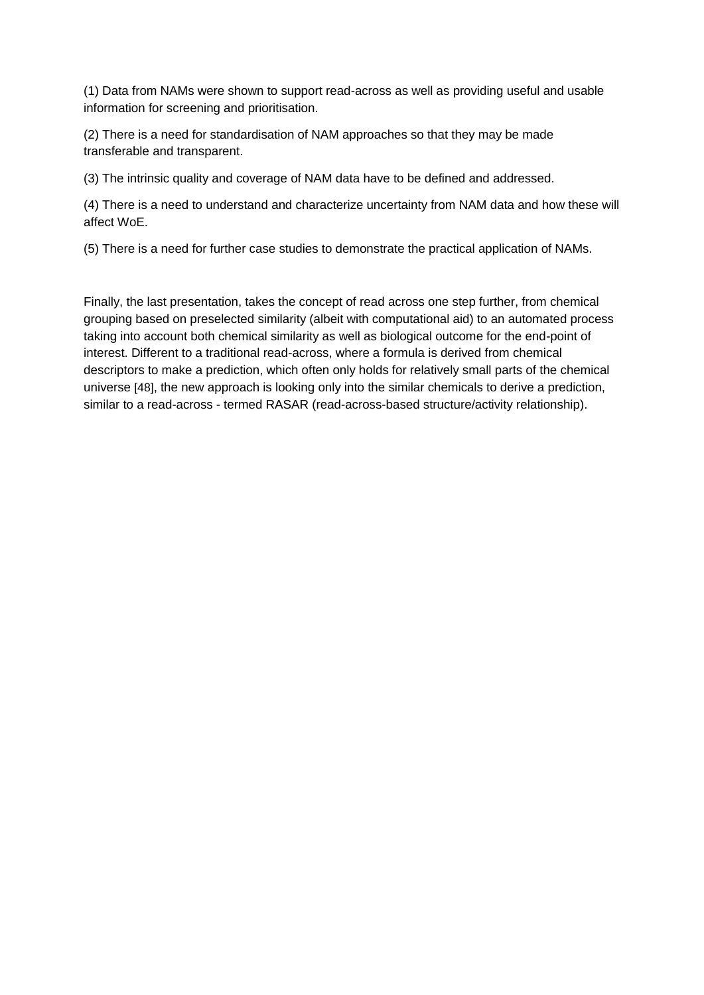(1) Data from NAMs were shown to support read-across as well as providing useful and usable information for screening and prioritisation.

(2) There is a need for standardisation of NAM approaches so that they may be made transferable and transparent.

(3) The intrinsic quality and coverage of NAM data have to be defined and addressed.

(4) There is a need to understand and characterize uncertainty from NAM data and how these will affect WoE.

(5) There is a need for further case studies to demonstrate the practical application of NAMs.

Finally, the last presentation, takes the concept of read across one step further, from chemical grouping based on preselected similarity (albeit with computational aid) to an automated process taking into account both chemical similarity as well as biological outcome for the end-point of interest. Different to a traditional read-across, where a formula is derived from chemical descriptors to make a prediction, which often only holds for relatively small parts of the chemical universe [48], the new approach is looking only into the similar chemicals to derive a prediction, similar to a read-across - termed RASAR (read-across-based structure/activity relationship).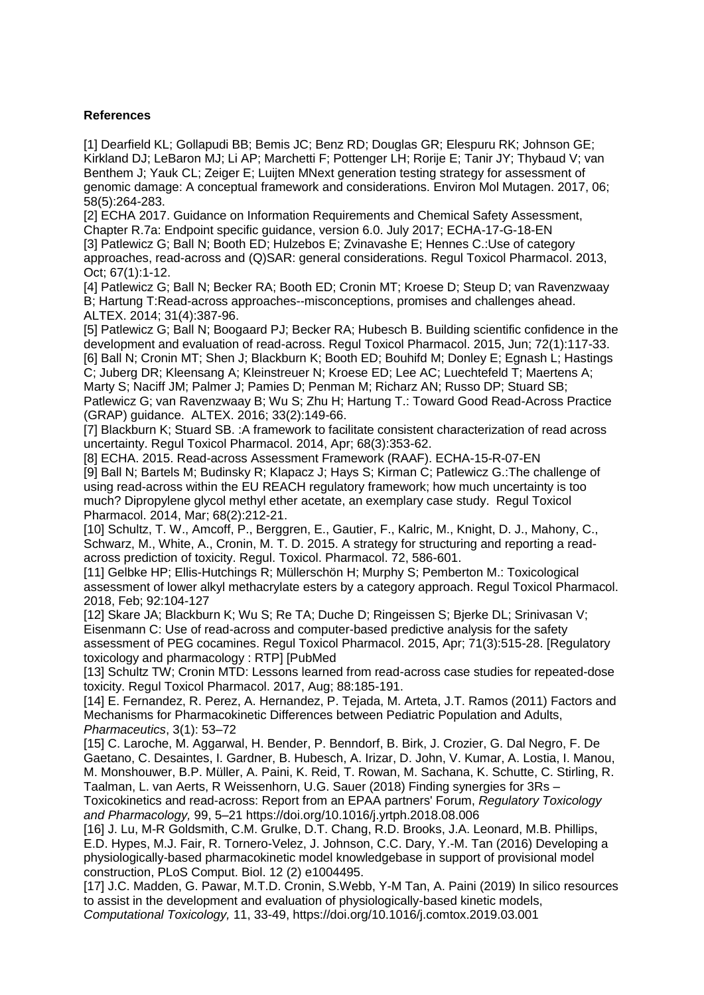## **References**

[1] Dearfield KL; Gollapudi BB; Bemis JC; Benz RD; Douglas GR; Elespuru RK; Johnson GE; Kirkland DJ; LeBaron MJ; Li AP; Marchetti F; Pottenger LH; Rorije E; Tanir JY; Thybaud V; van Benthem J; Yauk CL; Zeiger E; Luijten MNext generation testing strategy for assessment of genomic damage: A conceptual framework and considerations. Environ Mol Mutagen. 2017, 06; 58(5):264-283.

[2] ECHA 2017. Guidance on Information Requirements and Chemical Safety Assessment, Chapter R.7a: Endpoint specific guidance, version 6.0. July 2017; ECHA-17-G-18-EN [3] Patlewicz G; Ball N; Booth ED; Hulzebos E; Zvinavashe E; Hennes C.:Use of category approaches, read-across and (Q)SAR: general considerations. Regul Toxicol Pharmacol. 2013, Oct; 67(1):1-12.

[4] Patlewicz G; Ball N; Becker RA; Booth ED; Cronin MT; Kroese D; Steup D; van Ravenzwaay B; Hartung T:Read-across approaches--misconceptions, promises and challenges ahead. ALTEX. 2014; 31(4):387-96.

[5] Patlewicz G; Ball N; Boogaard PJ; Becker RA; Hubesch B. Building scientific confidence in the development and evaluation of read-across. Regul Toxicol Pharmacol. 2015, Jun; 72(1):117-33. [6] Ball N; Cronin MT; Shen J; Blackburn K; Booth ED; Bouhifd M; Donley E; Egnash L; Hastings C; Juberg DR; Kleensang A; Kleinstreuer N; Kroese ED; Lee AC; Luechtefeld T; Maertens A; Marty S; Naciff JM; Palmer J; Pamies D; Penman M; Richarz AN; Russo DP; Stuard SB; Patlewicz G; van Ravenzwaay B; Wu S; Zhu H; Hartung T.: Toward Good Read-Across Practice (GRAP) guidance. ALTEX. 2016; 33(2):149-66.

[7] Blackburn K; Stuard SB. :A framework to facilitate consistent characterization of read across uncertainty. Regul Toxicol Pharmacol. 2014, Apr; 68(3):353-62.

[8] ECHA. 2015. Read-across Assessment Framework (RAAF). ECHA-15-R-07-EN [9] Ball N; Bartels M; Budinsky R; Klapacz J; Hays S; Kirman C; Patlewicz G.:The challenge of using read-across within the EU REACH regulatory framework; how much uncertainty is too much? Dipropylene glycol methyl ether acetate, an exemplary case study. Regul Toxicol Pharmacol. 2014, Mar; 68(2):212-21.

[10] Schultz, T. W., Amcoff, P., Berggren, E., Gautier, F., Kalric, M., Knight, D. J., Mahony, C., Schwarz, M., White, A., Cronin, M. T. D. 2015. A strategy for structuring and reporting a readacross prediction of toxicity. Regul. Toxicol. Pharmacol. 72, 586-601.

[11] Gelbke HP; Ellis-Hutchings R; Müllerschön H; Murphy S; Pemberton M.: Toxicological assessment of lower alkyl methacrylate esters by a category approach. Regul Toxicol Pharmacol. 2018, Feb; 92:104-127

[12] Skare JA; Blackburn K; Wu S; Re TA; Duche D; Ringeissen S; Bjerke DL; Srinivasan V; Eisenmann C: Use of read-across and computer-based predictive analysis for the safety assessment of PEG cocamines. Regul Toxicol Pharmacol. 2015, Apr; 71(3):515-28. [Regulatory toxicology and pharmacology : RTP] [PubMed

[13] Schultz TW; Cronin MTD: Lessons learned from read-across case studies for repeated-dose toxicity. Regul Toxicol Pharmacol. 2017, Aug; 88:185-191.

[14] E. Fernandez, R. Perez, A. Hernandez, P. Tejada, M. Arteta, J.T. Ramos (2011) Factors and Mechanisms for Pharmacokinetic Differences between Pediatric Population and Adults, *Pharmaceutics*, 3(1): 53–72

[15] C. Laroche, M. Aggarwal, H. Bender, P. Benndorf, B. Birk, J. Crozier, G. Dal Negro, F. De Gaetano, C. Desaintes, I. Gardner, B. Hubesch, A. Irizar, D. John, V. Kumar, A. Lostia, I. Manou, M. Monshouwer, B.P. Müller, A. Paini, K. Reid, T. Rowan, M. Sachana, K. Schutte, C. Stirling, R. Taalman, L. van Aerts, R Weissenhorn, U.G. Sauer (2018) Finding synergies for 3Rs –

Toxicokinetics and read-across: Report from an EPAA partners' Forum, *Regulatory Toxicology and Pharmacology,* 99, 5–21 https://doi.org/10.1016/j.yrtph.2018.08.006

[16] J. Lu, M-R Goldsmith, C.M. Grulke, D.T. Chang, R.D. Brooks, J.A. Leonard, M.B. Phillips, E.D. Hypes, M.J. Fair, R. Tornero-Velez, J. Johnson, C.C. Dary, Y.-M. Tan (2016) Developing a physiologically-based pharmacokinetic model knowledgebase in support of provisional model construction, PLoS Comput. Biol. 12 (2) e1004495.

[17] J.C. Madden, G. Pawar, M.T.D. Cronin, S.Webb, Y-M Tan, A. Paini (2019) In silico resources to assist in the development and evaluation of physiologically-based kinetic models, *Computational Toxicology,* 11, 33-49, https://doi.org/10.1016/j.comtox.2019.03.001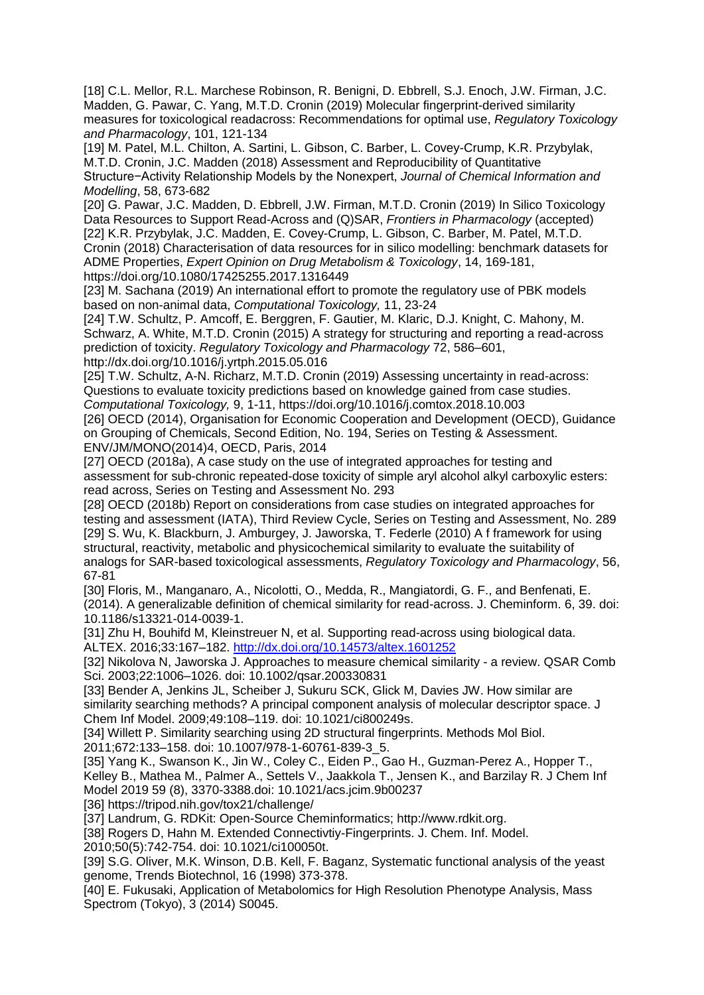[18] C.L. Mellor, R.L. Marchese Robinson, R. Benigni, D. Ebbrell, S.J. Enoch, J.W. Firman, J.C. Madden, G. Pawar, C. Yang, M.T.D. Cronin (2019) Molecular fingerprint-derived similarity measures for toxicological readacross: Recommendations for optimal use, *Regulatory Toxicology and Pharmacology*, 101, 121-134

[19] M. Patel, M.L. Chilton, A. Sartini, L. Gibson, C. Barber, L. Covey-Crump, K.R. Przybylak, M.T.D. Cronin, J.C. Madden (2018) Assessment and Reproducibility of Quantitative Structure−Activity Relationship Models by the Nonexpert, *Journal of Chemical Information and Modelling*, 58, 673-682

[20] G. Pawar, J.C. Madden, D. Ebbrell, J.W. Firman, M.T.D. Cronin (2019) In Silico Toxicology Data Resources to Support Read-Across and (Q)SAR, *Frontiers in Pharmacology* (accepted) [22] K.R. Przybylak, J.C. Madden, E. Covey-Crump, L. Gibson, C. Barber, M. Patel, M.T.D. Cronin (2018) Characterisation of data resources for in silico modelling: benchmark datasets for ADME Properties, *Expert Opinion on Drug Metabolism & Toxicology*, 14, 169-181,

https://doi.org/10.1080/17425255.2017.1316449

[23] M. Sachana (2019) An international effort to promote the regulatory use of PBK models based on non-animal data, *Computational Toxicology,* 11, 23-24

[24] T.W. Schultz, P. Amcoff, E. Berggren, F. Gautier, M. Klaric, D.J. Knight, C. Mahony, M. Schwarz, A. White, M.T.D. Cronin (2015) A strategy for structuring and reporting a read-across prediction of toxicity. *Regulatory Toxicology and Pharmacology* 72, 586–601, http://dx.doi.org/10.1016/j.yrtph.2015.05.016

[25] T.W. Schultz, A-N. Richarz, M.T.D. Cronin (2019) Assessing uncertainty in read-across: Questions to evaluate toxicity predictions based on knowledge gained from case studies. *Computational Toxicology,* 9, 1-11, https://doi.org/10.1016/j.comtox.2018.10.003

[26] OECD (2014), Organisation for Economic Cooperation and Development (OECD), Guidance on Grouping of Chemicals, Second Edition, No. 194, Series on Testing & Assessment. ENV/JM/MONO(2014)4, OECD, Paris, 2014

[27] OECD (2018a), A case study on the use of integrated approaches for testing and assessment for sub-chronic repeated-dose toxicity of simple aryl alcohol alkyl carboxylic esters: read across, Series on Testing and Assessment No. 293

[28] OECD (2018b) Report on considerations from case studies on integrated approaches for testing and assessment (IATA), Third Review Cycle, Series on Testing and Assessment, No. 289 [29] S. Wu, K. Blackburn, J. Amburgey, J. Jaworska, T. Federle (2010) A f framework for using structural, reactivity, metabolic and physicochemical similarity to evaluate the suitability of analogs for SAR-based toxicological assessments, *Regulatory Toxicology and Pharmacology*, 56, 67-81

[30] Floris, M., Manganaro, A., Nicolotti, O., Medda, R., Mangiatordi, G. F., and Benfenati, E. (2014). A generalizable definition of chemical similarity for read-across. J. Cheminform. 6, 39. doi: 10.1186/s13321-014-0039-1.

[31] Zhu H, Bouhifd M, Kleinstreuer N, et al. Supporting read-across using biological data. ALTEX. 2016;33:167–182.<http://dx.doi.org/10.14573/altex.1601252>

[32] Nikolova N, Jaworska J. Approaches to measure chemical similarity - a review. QSAR Comb Sci. 2003;22:1006–1026. doi: 10.1002/qsar.200330831

[33] Bender A, Jenkins JL, Scheiber J, Sukuru SCK, Glick M, Davies JW. How similar are similarity searching methods? A principal component analysis of molecular descriptor space. J Chem Inf Model. 2009;49:108–119. doi: 10.1021/ci800249s.

[34] Willett P. Similarity searching using 2D structural fingerprints. Methods Mol Biol. 2011;672:133–158. doi: 10.1007/978-1-60761-839-3\_5.

[35] Yang K., Swanson K., Jin W., Coley C., Eiden P., Gao H., Guzman-Perez A., Hopper T., Kelley B., Mathea M., Palmer A., Settels V., Jaakkola T., Jensen K., and Barzilay R. J Chem Inf Model 2019 59 (8), 3370-3388.doi: 10.1021/acs.jcim.9b00237

[36] https://tripod.nih.gov/tox21/challenge/

[37] Landrum, G. RDKit: Open-Source Cheminformatics; http://www.rdkit.org.

[38] Rogers D, Hahn M. Extended Connectivtiy-Fingerprints. J. Chem. Inf. Model.

2010;50(5):742-754. doi: 10.1021/ci100050t.

[39] S.G. Oliver, M.K. Winson, D.B. Kell, F. Baganz, Systematic functional analysis of the yeast genome, Trends Biotechnol, 16 (1998) 373-378.

[40] E. Fukusaki, Application of Metabolomics for High Resolution Phenotype Analysis, Mass Spectrom (Tokyo), 3 (2014) S0045.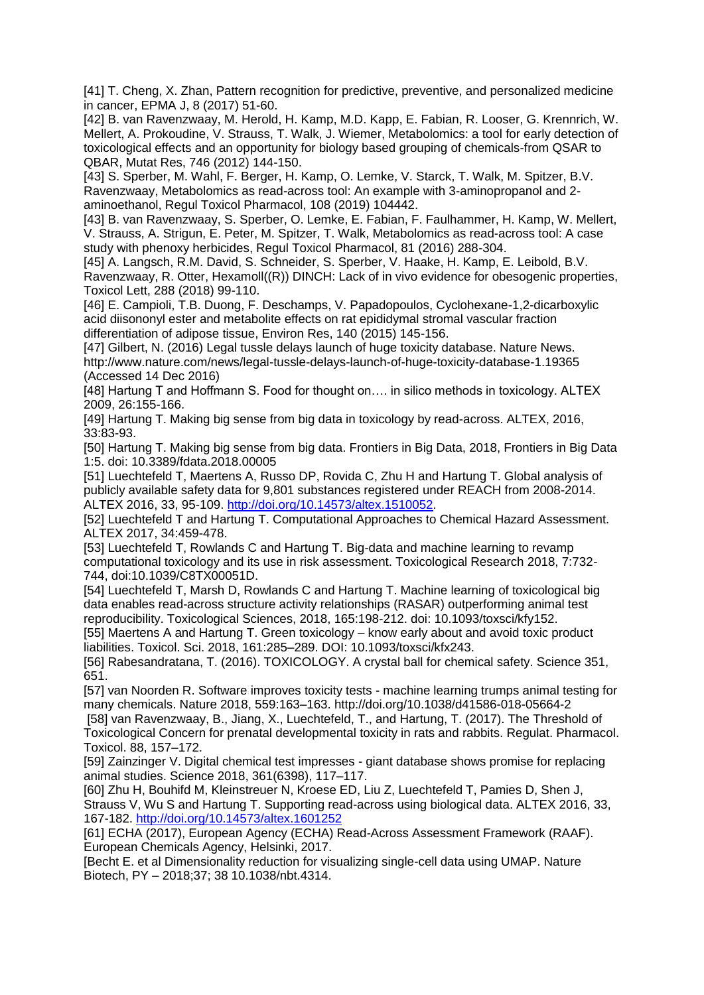[41] T. Cheng, X. Zhan, Pattern recognition for predictive, preventive, and personalized medicine in cancer, EPMA J, 8 (2017) 51-60.

[42] B. van Ravenzwaay, M. Herold, H. Kamp, M.D. Kapp, E. Fabian, R. Looser, G. Krennrich, W. Mellert, A. Prokoudine, V. Strauss, T. Walk, J. Wiemer, Metabolomics: a tool for early detection of toxicological effects and an opportunity for biology based grouping of chemicals-from QSAR to QBAR, Mutat Res, 746 (2012) 144-150.

[43] S. Sperber, M. Wahl, F. Berger, H. Kamp, O. Lemke, V. Starck, T. Walk, M. Spitzer, B.V. Ravenzwaay, Metabolomics as read-across tool: An example with 3-aminopropanol and 2 aminoethanol, Regul Toxicol Pharmacol, 108 (2019) 104442.

[43] B. van Ravenzwaay, S. Sperber, O. Lemke, E. Fabian, F. Faulhammer, H. Kamp, W. Mellert, V. Strauss, A. Strigun, E. Peter, M. Spitzer, T. Walk, Metabolomics as read-across tool: A case study with phenoxy herbicides, Regul Toxicol Pharmacol, 81 (2016) 288-304.

[45] A. Langsch, R.M. David, S. Schneider, S. Sperber, V. Haake, H. Kamp, E. Leibold, B.V. Ravenzwaay, R. Otter, Hexamoll((R)) DINCH: Lack of in vivo evidence for obesogenic properties, Toxicol Lett, 288 (2018) 99-110.

[46] E. Campioli, T.B. Duong, F. Deschamps, V. Papadopoulos, Cyclohexane-1,2-dicarboxylic acid diisononyl ester and metabolite effects on rat epididymal stromal vascular fraction differentiation of adipose tissue, Environ Res, 140 (2015) 145-156.

[47] Gilbert, N. (2016) Legal tussle delays launch of huge toxicity database. Nature News. http://www.nature.com/news/legal-tussle-delays-launch-of-huge-toxicity-database-1.19365 (Accessed 14 Dec 2016)

[48] Hartung T and Hoffmann S. Food for thought on…. in silico methods in toxicology. ALTEX 2009, 26:155-166.

[49] Hartung T. Making big sense from big data in toxicology by read-across. ALTEX, 2016, 33:83-93.

[50] Hartung T. Making big sense from big data. Frontiers in Big Data, 2018, Frontiers in Big Data 1:5. doi: 10.3389/fdata.2018.00005

[51] Luechtefeld T, Maertens A, Russo DP, Rovida C, Zhu H and Hartung T. Global analysis of publicly available safety data for 9,801 substances registered under REACH from 2008-2014. ALTEX 2016, 33, 95-109. [http://doi.org/10.14573/altex.1510052.](http://doi.org/10.14573/altex.1510052)

[52] Luechtefeld T and Hartung T. Computational Approaches to Chemical Hazard Assessment. ALTEX 2017, 34:459-478.

[53] Luechtefeld T, Rowlands C and Hartung T. Big-data and machine learning to revamp computational toxicology and its use in risk assessment. Toxicological Research 2018, 7:732- 744, doi:10.1039/C8TX00051D.

[54] Luechtefeld T, Marsh D, Rowlands C and Hartung T. Machine learning of toxicological big data enables read-across structure activity relationships (RASAR) outperforming animal test reproducibility. Toxicological Sciences, 2018, 165:198-212. doi: 10.1093/toxsci/kfy152.

[55] Maertens A and Hartung T. Green toxicology – know early about and avoid toxic product liabilities. Toxicol. Sci. 2018, 161:285–289. DOI: 10.1093/toxsci/kfx243.

[56] Rabesandratana, T. (2016). TOXICOLOGY. A crystal ball for chemical safety. Science 351, 651.

[57] van Noorden R. Software improves toxicity tests - machine learning trumps animal testing for many chemicals. Nature 2018, 559:163–163. http://doi.org/10.1038/d41586-018-05664-2

[58] van Ravenzwaay, B., Jiang, X., Luechtefeld, T., and Hartung, T. (2017). The Threshold of Toxicological Concern for prenatal developmental toxicity in rats and rabbits. Regulat. Pharmacol. Toxicol. 88, 157–172.

[59] Zainzinger V. Digital chemical test impresses - giant database shows promise for replacing animal studies. Science 2018, 361(6398), 117–117.

[60] Zhu H, Bouhifd M, Kleinstreuer N, Kroese ED, Liu Z, Luechtefeld T, Pamies D, Shen J, Strauss V, Wu S and Hartung T. Supporting read-across using biological data. ALTEX 2016, 33, 167-182.<http://doi.org/10.14573/altex.1601252>

[61] ECHA (2017), European Agency (ECHA) Read-Across Assessment Framework (RAAF). European Chemicals Agency, Helsinki, 2017.

[Becht E. et al Dimensionality reduction for visualizing single-cell data using UMAP. Nature Biotech, PY – 2018;37; 38 10.1038/nbt.4314.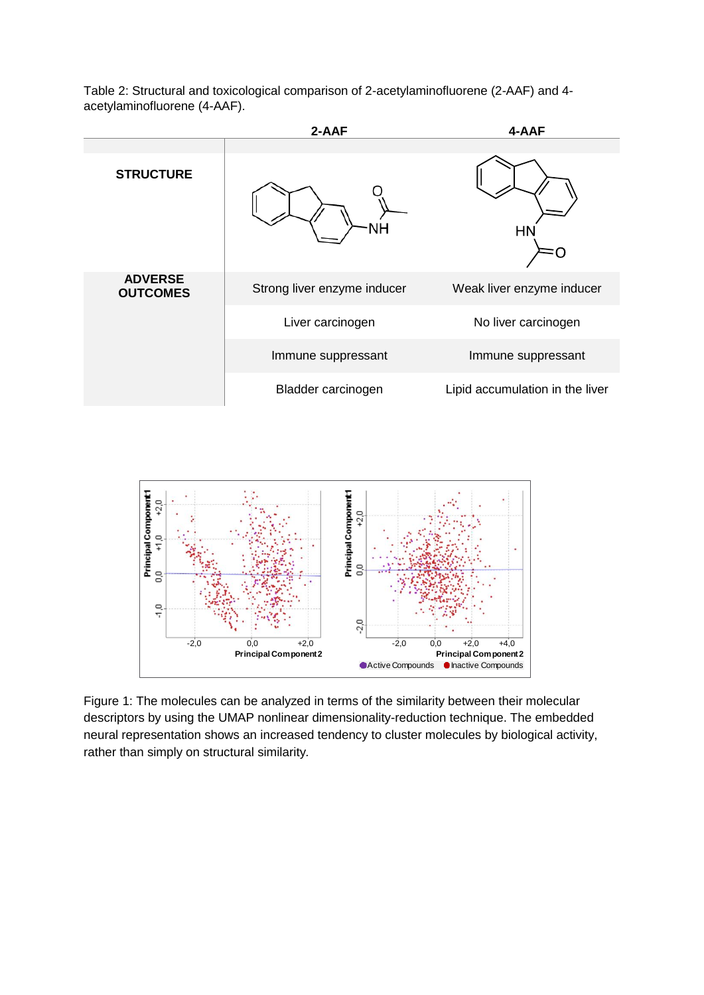Table 2: Structural and toxicological comparison of 2-acetylaminofluorene (2-AAF) and 4 acetylaminofluorene (4-AAF).





Figure 1: The molecules can be analyzed in terms of the similarity between their molecular descriptors by using the UMAP nonlinear dimensionality-reduction technique. The embedded neural representation shows an increased tendency to cluster molecules by biological activity, rather than simply on structural similarity*.*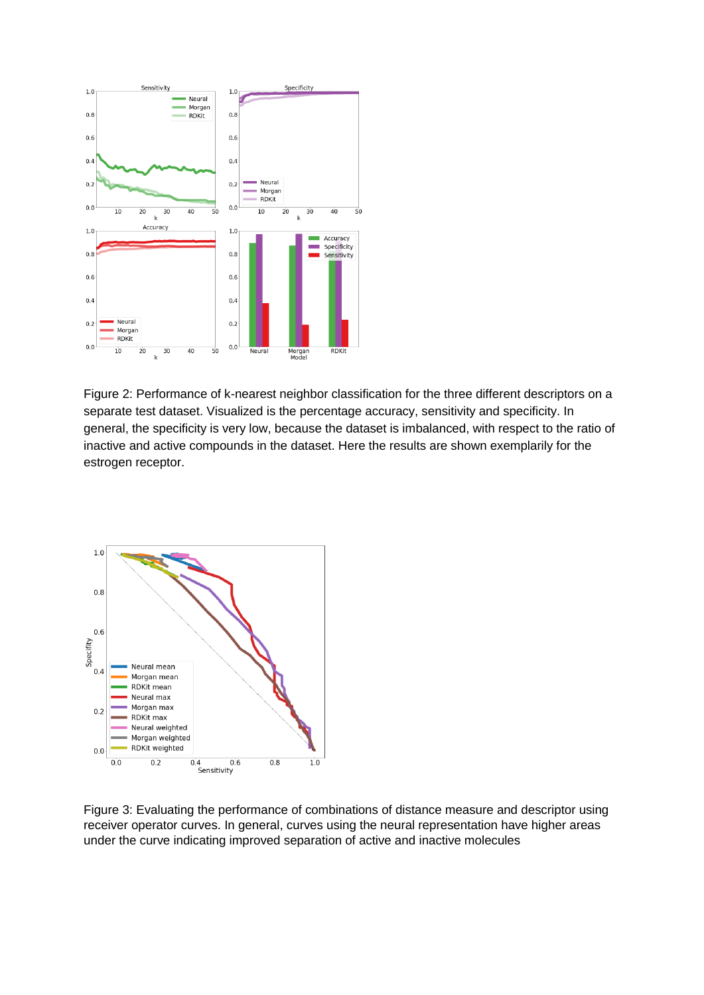

Figure 2: Performance of k-nearest neighbor classification for the three different descriptors on a separate test dataset. Visualized is the percentage accuracy, sensitivity and specificity. In general, the specificity is very low, because the dataset is imbalanced, with respect to the ratio of inactive and active compounds in the dataset. Here the results are shown exemplarily for the estrogen receptor.



Figure 3: Evaluating the performance of combinations of distance measure and descriptor using receiver operator curves. In general, curves using the neural representation have higher areas under the curve indicating improved separation of active and inactive molecules